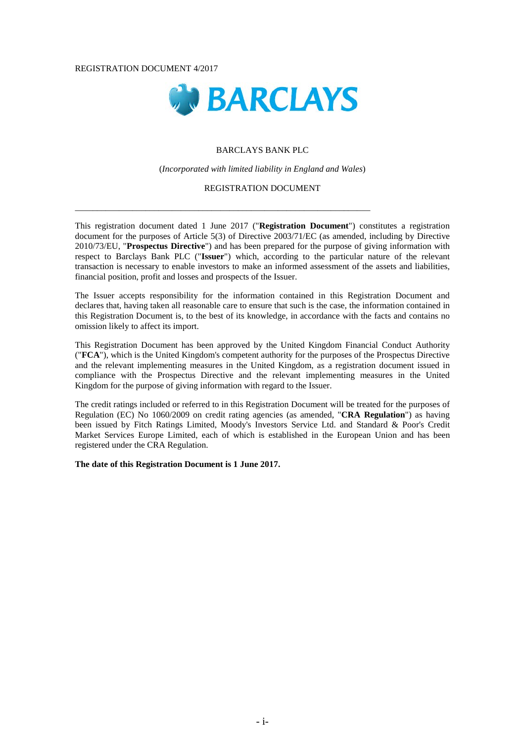#### REGISTRATION DOCUMENT 4/2017



### BARCLAYS BANK PLC

### (*Incorporated with limited liability in England and Wales*)

### REGISTRATION DOCUMENT

\_\_\_\_\_\_\_\_\_\_\_\_\_\_\_\_\_\_\_\_\_\_\_\_\_\_\_\_\_\_\_\_\_\_\_\_\_\_\_\_\_\_\_\_\_\_\_\_\_\_\_\_\_\_\_\_\_\_\_\_\_\_\_\_\_\_\_

This registration document dated 1 June 2017 ("**Registration Document**") constitutes a registration document for the purposes of Article 5(3) of Directive 2003/71/EC (as amended, including by Directive 2010/73/EU, "**Prospectus Directive**") and has been prepared for the purpose of giving information with respect to Barclays Bank PLC ("**Issuer**") which, according to the particular nature of the relevant transaction is necessary to enable investors to make an informed assessment of the assets and liabilities, financial position, profit and losses and prospects of the Issuer.

The Issuer accepts responsibility for the information contained in this Registration Document and declares that, having taken all reasonable care to ensure that such is the case, the information contained in this Registration Document is, to the best of its knowledge, in accordance with the facts and contains no omission likely to affect its import.

This Registration Document has been approved by the United Kingdom Financial Conduct Authority ("**FCA**"), which is the United Kingdom's competent authority for the purposes of the Prospectus Directive and the relevant implementing measures in the United Kingdom, as a registration document issued in compliance with the Prospectus Directive and the relevant implementing measures in the United Kingdom for the purpose of giving information with regard to the Issuer.

The credit ratings included or referred to in this Registration Document will be treated for the purposes of Regulation (EC) No 1060/2009 on credit rating agencies (as amended, "**CRA Regulation**") as having been issued by Fitch Ratings Limited, Moody's Investors Service Ltd. and Standard & Poor's Credit Market Services Europe Limited, each of which is established in the European Union and has been registered under the CRA Regulation.

**The date of this Registration Document is 1 June 2017.**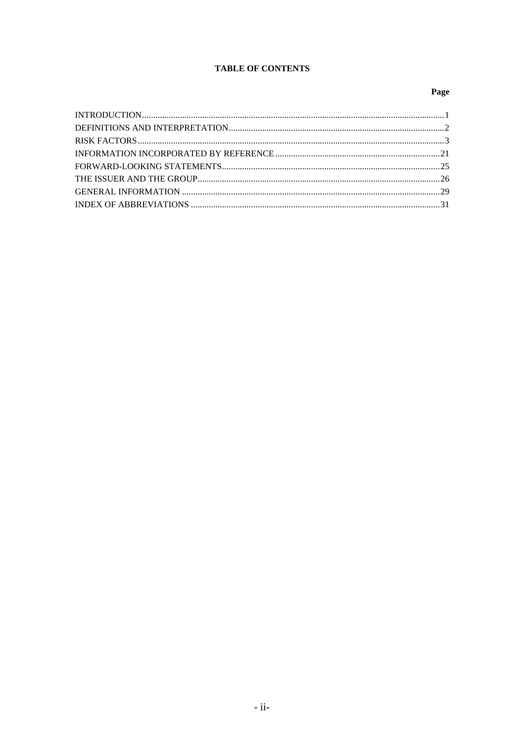# **TABLE OF CONTENTS**

# Page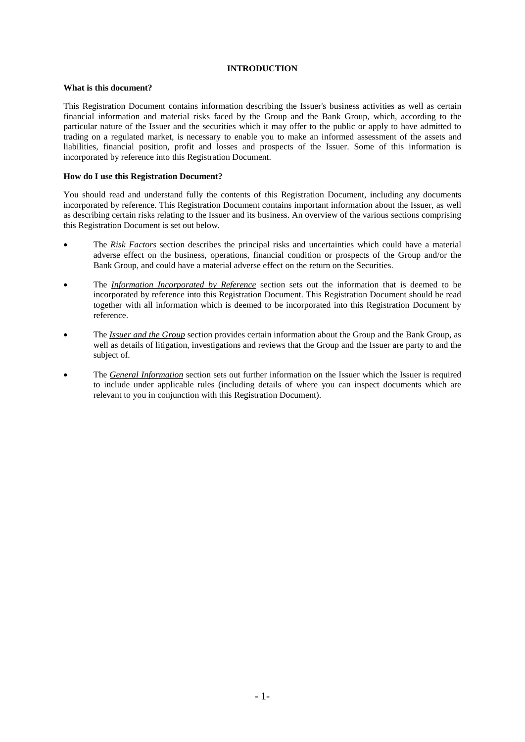# **INTRODUCTION**

## **What is this document?**

This Registration Document contains information describing the Issuer's business activities as well as certain financial information and material risks faced by the Group and the Bank Group, which, according to the particular nature of the Issuer and the securities which it may offer to the public or apply to have admitted to trading on a regulated market, is necessary to enable you to make an informed assessment of the assets and liabilities, financial position, profit and losses and prospects of the Issuer. Some of this information is incorporated by reference into this Registration Document.

## **How do I use this Registration Document?**

You should read and understand fully the contents of this Registration Document, including any documents incorporated by reference. This Registration Document contains important information about the Issuer, as well as describing certain risks relating to the Issuer and its business. An overview of the various sections comprising this Registration Document is set out below.

- The *Risk Factors* section describes the principal risks and uncertainties which could have a material adverse effect on the business, operations, financial condition or prospects of the Group and/or the Bank Group, and could have a material adverse effect on the return on the Securities.
- The *Information Incorporated by Reference* section sets out the information that is deemed to be incorporated by reference into this Registration Document. This Registration Document should be read together with all information which is deemed to be incorporated into this Registration Document by reference.
- The *Issuer and the Group* section provides certain information about the Group and the Bank Group, as well as details of litigation, investigations and reviews that the Group and the Issuer are party to and the subject of.
- The *General Information* section sets out further information on the Issuer which the Issuer is required to include under applicable rules (including details of where you can inspect documents which are relevant to you in conjunction with this Registration Document).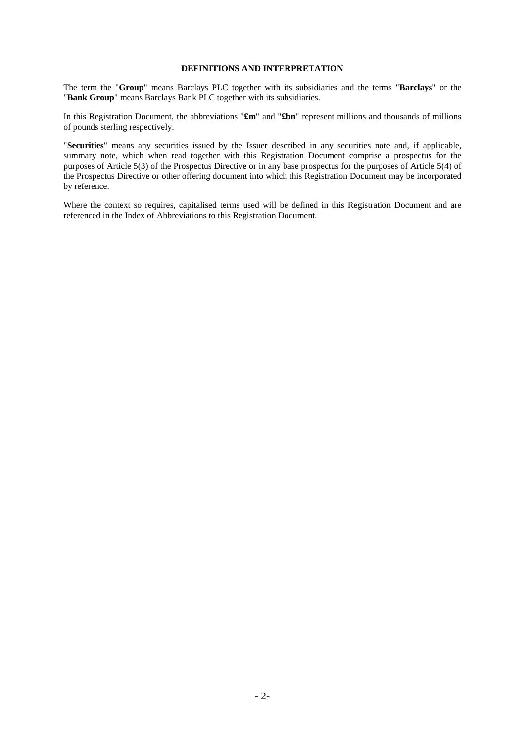# **DEFINITIONS AND INTERPRETATION**

The term the "**Group**" means Barclays PLC together with its subsidiaries and the terms "**Barclays**" or the "**Bank Group**" means Barclays Bank PLC together with its subsidiaries.

In this Registration Document, the abbreviations "**£m**" and "**£bn**" represent millions and thousands of millions of pounds sterling respectively.

"**Securities**" means any securities issued by the Issuer described in any securities note and, if applicable, summary note, which when read together with this Registration Document comprise a prospectus for the purposes of Article 5(3) of the Prospectus Directive or in any base prospectus for the purposes of Article 5(4) of the Prospectus Directive or other offering document into which this Registration Document may be incorporated by reference.

Where the context so requires, capitalised terms used will be defined in this Registration Document and are referenced in the Index of Abbreviations to this Registration Document.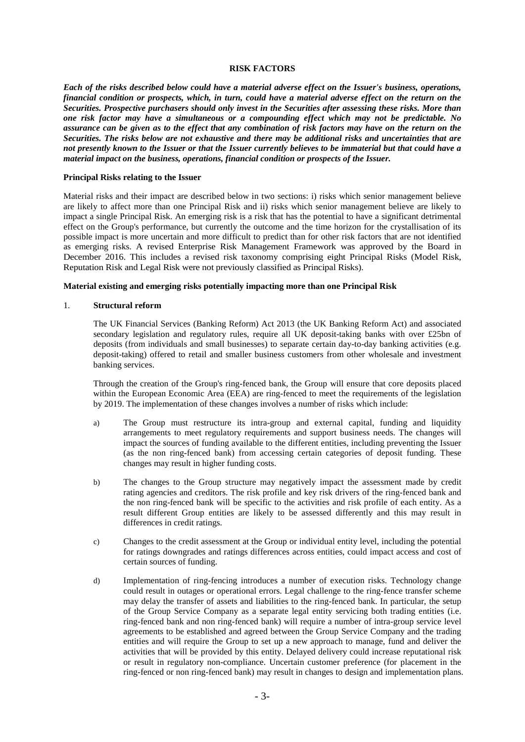### **RISK FACTORS**

*Each of the risks described below could have a material adverse effect on the Issuer's business, operations, financial condition or prospects, which, in turn, could have a material adverse effect on the return on the Securities. Prospective purchasers should only invest in the Securities after assessing these risks. More than one risk factor may have a simultaneous or a compounding effect which may not be predictable. No assurance can be given as to the effect that any combination of risk factors may have on the return on the Securities. The risks below are not exhaustive and there may be additional risks and uncertainties that are not presently known to the Issuer or that the Issuer currently believes to be immaterial but that could have a material impact on the business, operations, financial condition or prospects of the Issuer.* 

### **Principal Risks relating to the Issuer**

Material risks and their impact are described below in two sections: i) risks which senior management believe are likely to affect more than one Principal Risk and ii) risks which senior management believe are likely to impact a single Principal Risk. An emerging risk is a risk that has the potential to have a significant detrimental effect on the Group's performance, but currently the outcome and the time horizon for the crystallisation of its possible impact is more uncertain and more difficult to predict than for other risk factors that are not identified as emerging risks. A revised Enterprise Risk Management Framework was approved by the Board in December 2016. This includes a revised risk taxonomy comprising eight Principal Risks (Model Risk, Reputation Risk and Legal Risk were not previously classified as Principal Risks).

### **Material existing and emerging risks potentially impacting more than one Principal Risk**

### 1. **Structural reform**

The UK Financial Services (Banking Reform) Act 2013 (the UK Banking Reform Act) and associated secondary legislation and regulatory rules, require all UK deposit-taking banks with over £25bn of deposits (from individuals and small businesses) to separate certain day-to-day banking activities (e.g. deposit-taking) offered to retail and smaller business customers from other wholesale and investment banking services.

Through the creation of the Group's ring-fenced bank, the Group will ensure that core deposits placed within the European Economic Area (EEA) are ring-fenced to meet the requirements of the legislation by 2019. The implementation of these changes involves a number of risks which include:

- a) The Group must restructure its intra-group and external capital, funding and liquidity arrangements to meet regulatory requirements and support business needs. The changes will impact the sources of funding available to the different entities, including preventing the Issuer (as the non ring-fenced bank) from accessing certain categories of deposit funding. These changes may result in higher funding costs.
- b) The changes to the Group structure may negatively impact the assessment made by credit rating agencies and creditors. The risk profile and key risk drivers of the ring-fenced bank and the non ring-fenced bank will be specific to the activities and risk profile of each entity. As a result different Group entities are likely to be assessed differently and this may result in differences in credit ratings.
- c) Changes to the credit assessment at the Group or individual entity level, including the potential for ratings downgrades and ratings differences across entities, could impact access and cost of certain sources of funding.
- d) Implementation of ring-fencing introduces a number of execution risks. Technology change could result in outages or operational errors. Legal challenge to the ring-fence transfer scheme may delay the transfer of assets and liabilities to the ring-fenced bank. In particular, the setup of the Group Service Company as a separate legal entity servicing both trading entities (i.e. ring-fenced bank and non ring-fenced bank) will require a number of intra-group service level agreements to be established and agreed between the Group Service Company and the trading entities and will require the Group to set up a new approach to manage, fund and deliver the activities that will be provided by this entity. Delayed delivery could increase reputational risk or result in regulatory non-compliance. Uncertain customer preference (for placement in the ring-fenced or non ring-fenced bank) may result in changes to design and implementation plans.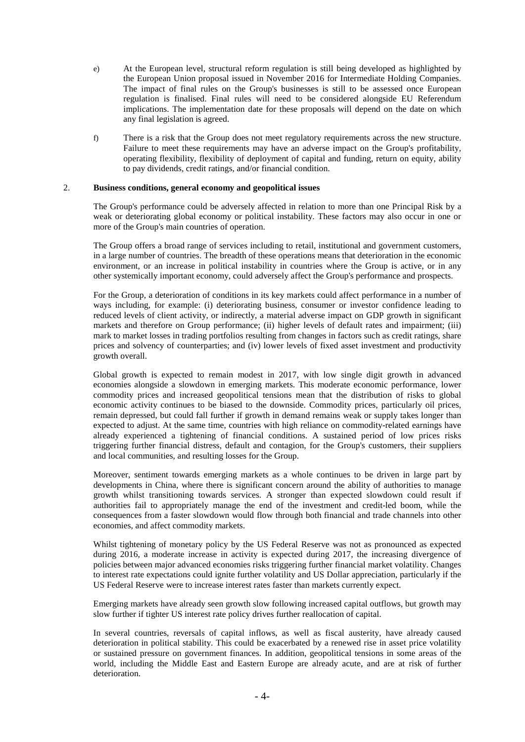- e) At the European level, structural reform regulation is still being developed as highlighted by the European Union proposal issued in November 2016 for Intermediate Holding Companies. The impact of final rules on the Group's businesses is still to be assessed once European regulation is finalised. Final rules will need to be considered alongside EU Referendum implications. The implementation date for these proposals will depend on the date on which any final legislation is agreed.
- f) There is a risk that the Group does not meet regulatory requirements across the new structure. Failure to meet these requirements may have an adverse impact on the Group's profitability, operating flexibility, flexibility of deployment of capital and funding, return on equity, ability to pay dividends, credit ratings, and/or financial condition.

### 2. **Business conditions, general economy and geopolitical issues**

The Group's performance could be adversely affected in relation to more than one Principal Risk by a weak or deteriorating global economy or political instability. These factors may also occur in one or more of the Group's main countries of operation.

The Group offers a broad range of services including to retail, institutional and government customers, in a large number of countries. The breadth of these operations means that deterioration in the economic environment, or an increase in political instability in countries where the Group is active, or in any other systemically important economy, could adversely affect the Group's performance and prospects.

For the Group, a deterioration of conditions in its key markets could affect performance in a number of ways including, for example: (i) deteriorating business, consumer or investor confidence leading to reduced levels of client activity, or indirectly, a material adverse impact on GDP growth in significant markets and therefore on Group performance; (ii) higher levels of default rates and impairment; (iii) mark to market losses in trading portfolios resulting from changes in factors such as credit ratings, share prices and solvency of counterparties; and (iv) lower levels of fixed asset investment and productivity growth overall.

Global growth is expected to remain modest in 2017, with low single digit growth in advanced economies alongside a slowdown in emerging markets. This moderate economic performance, lower commodity prices and increased geopolitical tensions mean that the distribution of risks to global economic activity continues to be biased to the downside. Commodity prices, particularly oil prices, remain depressed, but could fall further if growth in demand remains weak or supply takes longer than expected to adjust. At the same time, countries with high reliance on commodity-related earnings have already experienced a tightening of financial conditions. A sustained period of low prices risks triggering further financial distress, default and contagion, for the Group's customers, their suppliers and local communities, and resulting losses for the Group.

Moreover, sentiment towards emerging markets as a whole continues to be driven in large part by developments in China, where there is significant concern around the ability of authorities to manage growth whilst transitioning towards services. A stronger than expected slowdown could result if authorities fail to appropriately manage the end of the investment and credit-led boom, while the consequences from a faster slowdown would flow through both financial and trade channels into other economies, and affect commodity markets.

Whilst tightening of monetary policy by the US Federal Reserve was not as pronounced as expected during 2016, a moderate increase in activity is expected during 2017, the increasing divergence of policies between major advanced economies risks triggering further financial market volatility. Changes to interest rate expectations could ignite further volatility and US Dollar appreciation, particularly if the US Federal Reserve were to increase interest rates faster than markets currently expect.

Emerging markets have already seen growth slow following increased capital outflows, but growth may slow further if tighter US interest rate policy drives further reallocation of capital.

In several countries, reversals of capital inflows, as well as fiscal austerity, have already caused deterioration in political stability. This could be exacerbated by a renewed rise in asset price volatility or sustained pressure on government finances. In addition, geopolitical tensions in some areas of the world, including the Middle East and Eastern Europe are already acute, and are at risk of further deterioration.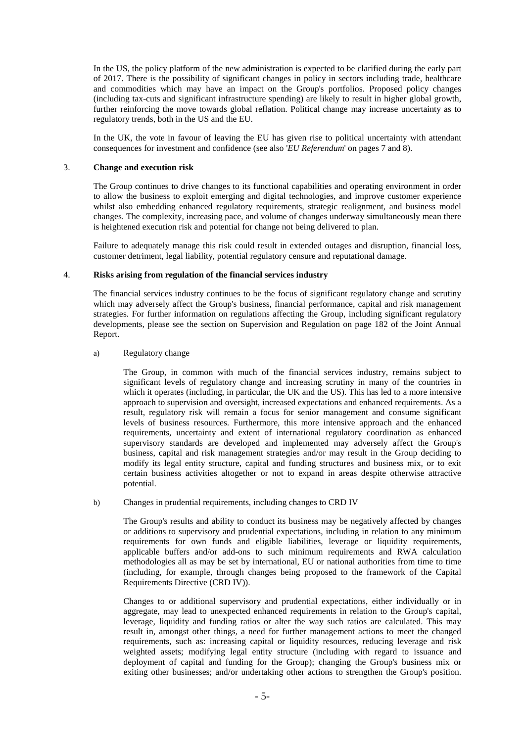In the US, the policy platform of the new administration is expected to be clarified during the early part of 2017. There is the possibility of significant changes in policy in sectors including trade, healthcare and commodities which may have an impact on the Group's portfolios. Proposed policy changes (including tax-cuts and significant infrastructure spending) are likely to result in higher global growth, further reinforcing the move towards global reflation. Political change may increase uncertainty as to regulatory trends, both in the US and the EU.

In the UK, the vote in favour of leaving the EU has given rise to political uncertainty with attendant consequences for investment and confidence (see also '*EU Referendum*' on pages 7 and 8).

### 3. **Change and execution risk**

The Group continues to drive changes to its functional capabilities and operating environment in order to allow the business to exploit emerging and digital technologies, and improve customer experience whilst also embedding enhanced regulatory requirements, strategic realignment, and business model changes. The complexity, increasing pace, and volume of changes underway simultaneously mean there is heightened execution risk and potential for change not being delivered to plan.

Failure to adequately manage this risk could result in extended outages and disruption, financial loss, customer detriment, legal liability, potential regulatory censure and reputational damage.

### 4. **Risks arising from regulation of the financial services industry**

The financial services industry continues to be the focus of significant regulatory change and scrutiny which may adversely affect the Group's business, financial performance, capital and risk management strategies. For further information on regulations affecting the Group, including significant regulatory developments, please see the section on Supervision and Regulation on page 182 of the Joint Annual Report.

### a) Regulatory change

The Group, in common with much of the financial services industry, remains subject to significant levels of regulatory change and increasing scrutiny in many of the countries in which it operates (including, in particular, the UK and the US). This has led to a more intensive approach to supervision and oversight, increased expectations and enhanced requirements. As a result, regulatory risk will remain a focus for senior management and consume significant levels of business resources. Furthermore, this more intensive approach and the enhanced requirements, uncertainty and extent of international regulatory coordination as enhanced supervisory standards are developed and implemented may adversely affect the Group's business, capital and risk management strategies and/or may result in the Group deciding to modify its legal entity structure, capital and funding structures and business mix, or to exit certain business activities altogether or not to expand in areas despite otherwise attractive potential.

### b) Changes in prudential requirements, including changes to CRD IV

The Group's results and ability to conduct its business may be negatively affected by changes or additions to supervisory and prudential expectations, including in relation to any minimum requirements for own funds and eligible liabilities, leverage or liquidity requirements, applicable buffers and/or add-ons to such minimum requirements and RWA calculation methodologies all as may be set by international, EU or national authorities from time to time (including, for example, through changes being proposed to the framework of the Capital Requirements Directive (CRD IV)).

Changes to or additional supervisory and prudential expectations, either individually or in aggregate, may lead to unexpected enhanced requirements in relation to the Group's capital, leverage, liquidity and funding ratios or alter the way such ratios are calculated. This may result in, amongst other things, a need for further management actions to meet the changed requirements, such as: increasing capital or liquidity resources, reducing leverage and risk weighted assets; modifying legal entity structure (including with regard to issuance and deployment of capital and funding for the Group); changing the Group's business mix or exiting other businesses; and/or undertaking other actions to strengthen the Group's position.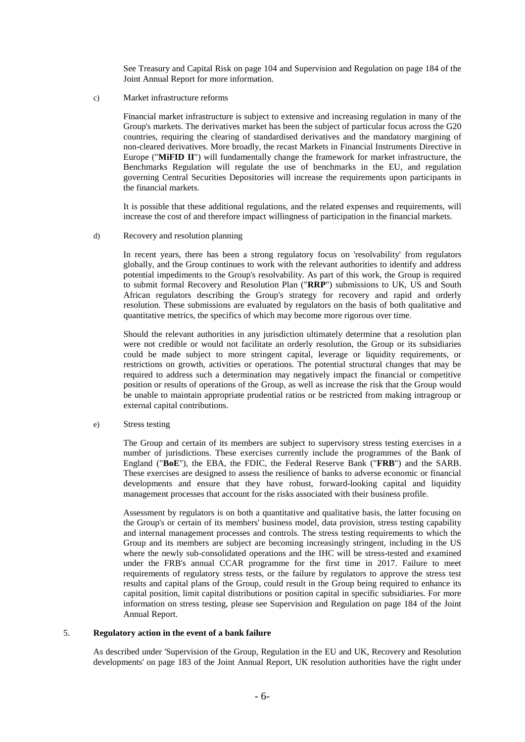See Treasury and Capital Risk on page 104 and Supervision and Regulation on page 184 of the Joint Annual Report for more information.

c) Market infrastructure reforms

Financial market infrastructure is subject to extensive and increasing regulation in many of the Group's markets. The derivatives market has been the subject of particular focus across the G20 countries, requiring the clearing of standardised derivatives and the mandatory margining of non-cleared derivatives. More broadly, the recast Markets in Financial Instruments Directive in Europe ("**MiFID II**") will fundamentally change the framework for market infrastructure, the Benchmarks Regulation will regulate the use of benchmarks in the EU, and regulation governing Central Securities Depositories will increase the requirements upon participants in the financial markets.

It is possible that these additional regulations, and the related expenses and requirements, will increase the cost of and therefore impact willingness of participation in the financial markets.

d) Recovery and resolution planning

In recent years, there has been a strong regulatory focus on 'resolvability' from regulators globally, and the Group continues to work with the relevant authorities to identify and address potential impediments to the Group's resolvability. As part of this work, the Group is required to submit formal Recovery and Resolution Plan ("**RRP**") submissions to UK, US and South African regulators describing the Group's strategy for recovery and rapid and orderly resolution. These submissions are evaluated by regulators on the basis of both qualitative and quantitative metrics, the specifics of which may become more rigorous over time.

Should the relevant authorities in any jurisdiction ultimately determine that a resolution plan were not credible or would not facilitate an orderly resolution, the Group or its subsidiaries could be made subject to more stringent capital, leverage or liquidity requirements, or restrictions on growth, activities or operations. The potential structural changes that may be required to address such a determination may negatively impact the financial or competitive position or results of operations of the Group, as well as increase the risk that the Group would be unable to maintain appropriate prudential ratios or be restricted from making intragroup or external capital contributions.

e) Stress testing

The Group and certain of its members are subject to supervisory stress testing exercises in a number of jurisdictions. These exercises currently include the programmes of the Bank of England ("**BoE**"), the EBA, the FDIC, the Federal Reserve Bank ("**FRB**") and the SARB. These exercises are designed to assess the resilience of banks to adverse economic or financial developments and ensure that they have robust, forward-looking capital and liquidity management processes that account for the risks associated with their business profile.

Assessment by regulators is on both a quantitative and qualitative basis, the latter focusing on the Group's or certain of its members' business model, data provision, stress testing capability and internal management processes and controls. The stress testing requirements to which the Group and its members are subject are becoming increasingly stringent, including in the US where the newly sub-consolidated operations and the IHC will be stress-tested and examined under the FRB's annual CCAR programme for the first time in 2017. Failure to meet requirements of regulatory stress tests, or the failure by regulators to approve the stress test results and capital plans of the Group, could result in the Group being required to enhance its capital position, limit capital distributions or position capital in specific subsidiaries. For more information on stress testing, please see Supervision and Regulation on page 184 of the Joint Annual Report.

### 5. **Regulatory action in the event of a bank failure**

As described under 'Supervision of the Group, Regulation in the EU and UK, Recovery and Resolution developments' on page 183 of the Joint Annual Report, UK resolution authorities have the right under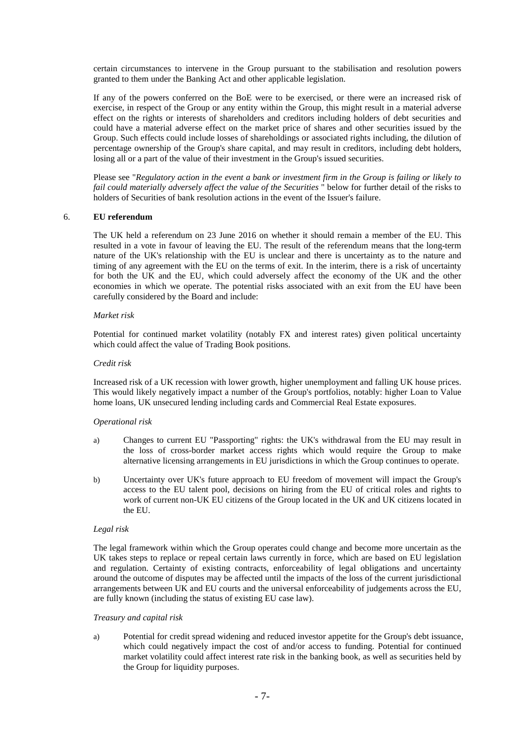certain circumstances to intervene in the Group pursuant to the stabilisation and resolution powers granted to them under the Banking Act and other applicable legislation.

If any of the powers conferred on the BoE were to be exercised, or there were an increased risk of exercise, in respect of the Group or any entity within the Group, this might result in a material adverse effect on the rights or interests of shareholders and creditors including holders of debt securities and could have a material adverse effect on the market price of shares and other securities issued by the Group. Such effects could include losses of shareholdings or associated rights including, the dilution of percentage ownership of the Group's share capital, and may result in creditors, including debt holders, losing all or a part of the value of their investment in the Group's issued securities.

Please see "*Regulatory action in the event a bank or investment firm in the Group is failing or likely to fail could materially adversely affect the value of the Securities* " below for further detail of the risks to holders of Securities of bank resolution actions in the event of the Issuer's failure.

### 6. **EU referendum**

The UK held a referendum on 23 June 2016 on whether it should remain a member of the EU. This resulted in a vote in favour of leaving the EU. The result of the referendum means that the long-term nature of the UK's relationship with the EU is unclear and there is uncertainty as to the nature and timing of any agreement with the EU on the terms of exit. In the interim, there is a risk of uncertainty for both the UK and the EU, which could adversely affect the economy of the UK and the other economies in which we operate. The potential risks associated with an exit from the EU have been carefully considered by the Board and include:

### *Market risk*

Potential for continued market volatility (notably FX and interest rates) given political uncertainty which could affect the value of Trading Book positions.

### *Credit risk*

Increased risk of a UK recession with lower growth, higher unemployment and falling UK house prices. This would likely negatively impact a number of the Group's portfolios, notably: higher Loan to Value home loans, UK unsecured lending including cards and Commercial Real Estate exposures.

### *Operational risk*

- a) Changes to current EU "Passporting" rights: the UK's withdrawal from the EU may result in the loss of cross-border market access rights which would require the Group to make alternative licensing arrangements in EU jurisdictions in which the Group continues to operate.
- b) Uncertainty over UK's future approach to EU freedom of movement will impact the Group's access to the EU talent pool, decisions on hiring from the EU of critical roles and rights to work of current non-UK EU citizens of the Group located in the UK and UK citizens located in the EU.

### *Legal risk*

The legal framework within which the Group operates could change and become more uncertain as the UK takes steps to replace or repeal certain laws currently in force, which are based on EU legislation and regulation. Certainty of existing contracts, enforceability of legal obligations and uncertainty around the outcome of disputes may be affected until the impacts of the loss of the current jurisdictional arrangements between UK and EU courts and the universal enforceability of judgements across the EU, are fully known (including the status of existing EU case law).

### *Treasury and capital risk*

a) Potential for credit spread widening and reduced investor appetite for the Group's debt issuance, which could negatively impact the cost of and/or access to funding. Potential for continued market volatility could affect interest rate risk in the banking book, as well as securities held by the Group for liquidity purposes.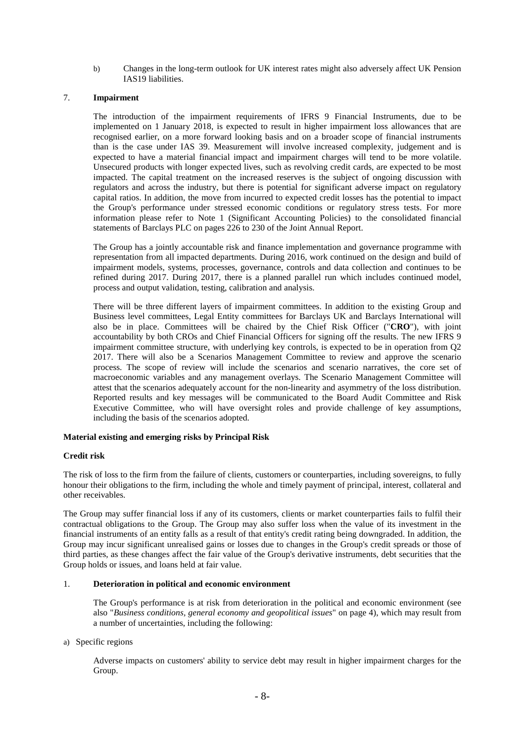b) Changes in the long-term outlook for UK interest rates might also adversely affect UK Pension IAS19 liabilities.

# 7. **Impairment**

The introduction of the impairment requirements of IFRS 9 Financial Instruments, due to be implemented on 1 January 2018, is expected to result in higher impairment loss allowances that are recognised earlier, on a more forward looking basis and on a broader scope of financial instruments than is the case under IAS 39. Measurement will involve increased complexity, judgement and is expected to have a material financial impact and impairment charges will tend to be more volatile. Unsecured products with longer expected lives, such as revolving credit cards, are expected to be most impacted. The capital treatment on the increased reserves is the subject of ongoing discussion with regulators and across the industry, but there is potential for significant adverse impact on regulatory capital ratios. In addition, the move from incurred to expected credit losses has the potential to impact the Group's performance under stressed economic conditions or regulatory stress tests. For more information please refer to Note 1 (Significant Accounting Policies) to the consolidated financial statements of Barclays PLC on pages 226 to 230 of the Joint Annual Report.

The Group has a jointly accountable risk and finance implementation and governance programme with representation from all impacted departments. During 2016, work continued on the design and build of impairment models, systems, processes, governance, controls and data collection and continues to be refined during 2017. During 2017, there is a planned parallel run which includes continued model, process and output validation, testing, calibration and analysis.

There will be three different layers of impairment committees. In addition to the existing Group and Business level committees, Legal Entity committees for Barclays UK and Barclays International will also be in place. Committees will be chaired by the Chief Risk Officer ("**CRO**"), with joint accountability by both CROs and Chief Financial Officers for signing off the results. The new IFRS 9 impairment committee structure, with underlying key controls, is expected to be in operation from Q2 2017. There will also be a Scenarios Management Committee to review and approve the scenario process. The scope of review will include the scenarios and scenario narratives, the core set of macroeconomic variables and any management overlays. The Scenario Management Committee will attest that the scenarios adequately account for the non-linearity and asymmetry of the loss distribution. Reported results and key messages will be communicated to the Board Audit Committee and Risk Executive Committee, who will have oversight roles and provide challenge of key assumptions, including the basis of the scenarios adopted.

## **Material existing and emerging risks by Principal Risk**

## **Credit risk**

The risk of loss to the firm from the failure of clients, customers or counterparties, including sovereigns, to fully honour their obligations to the firm, including the whole and timely payment of principal, interest, collateral and other receivables.

The Group may suffer financial loss if any of its customers, clients or market counterparties fails to fulfil their contractual obligations to the Group. The Group may also suffer loss when the value of its investment in the financial instruments of an entity falls as a result of that entity's credit rating being downgraded. In addition, the Group may incur significant unrealised gains or losses due to changes in the Group's credit spreads or those of third parties, as these changes affect the fair value of the Group's derivative instruments, debt securities that the Group holds or issues, and loans held at fair value.

## 1. **Deterioration in political and economic environment**

The Group's performance is at risk from deterioration in the political and economic environment (see also "*Business conditions, general economy and geopolitical issues*" on page 4), which may result from a number of uncertainties, including the following:

### a) Specific regions

Adverse impacts on customers' ability to service debt may result in higher impairment charges for the Group.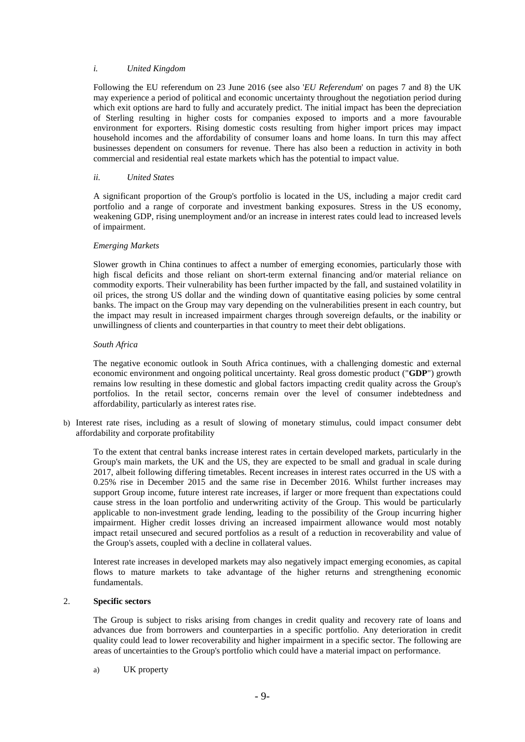### *i. United Kingdom*

Following the EU referendum on 23 June 2016 (see also '*EU Referendum*' on pages 7 and 8) the UK may experience a period of political and economic uncertainty throughout the negotiation period during which exit options are hard to fully and accurately predict. The initial impact has been the depreciation of Sterling resulting in higher costs for companies exposed to imports and a more favourable environment for exporters. Rising domestic costs resulting from higher import prices may impact household incomes and the affordability of consumer loans and home loans. In turn this may affect businesses dependent on consumers for revenue. There has also been a reduction in activity in both commercial and residential real estate markets which has the potential to impact value.

### *ii. United States*

A significant proportion of the Group's portfolio is located in the US, including a major credit card portfolio and a range of corporate and investment banking exposures. Stress in the US economy, weakening GDP, rising unemployment and/or an increase in interest rates could lead to increased levels of impairment.

### *Emerging Markets*

Slower growth in China continues to affect a number of emerging economies, particularly those with high fiscal deficits and those reliant on short-term external financing and/or material reliance on commodity exports. Their vulnerability has been further impacted by the fall, and sustained volatility in oil prices, the strong US dollar and the winding down of quantitative easing policies by some central banks. The impact on the Group may vary depending on the vulnerabilities present in each country, but the impact may result in increased impairment charges through sovereign defaults, or the inability or unwillingness of clients and counterparties in that country to meet their debt obligations.

### *South Africa*

The negative economic outlook in South Africa continues, with a challenging domestic and external economic environment and ongoing political uncertainty. Real gross domestic product ("**GDP**") growth remains low resulting in these domestic and global factors impacting credit quality across the Group's portfolios. In the retail sector, concerns remain over the level of consumer indebtedness and affordability, particularly as interest rates rise.

b) Interest rate rises, including as a result of slowing of monetary stimulus, could impact consumer debt affordability and corporate profitability

To the extent that central banks increase interest rates in certain developed markets, particularly in the Group's main markets, the UK and the US, they are expected to be small and gradual in scale during 2017, albeit following differing timetables. Recent increases in interest rates occurred in the US with a 0.25% rise in December 2015 and the same rise in December 2016. Whilst further increases may support Group income, future interest rate increases, if larger or more frequent than expectations could cause stress in the loan portfolio and underwriting activity of the Group. This would be particularly applicable to non-investment grade lending, leading to the possibility of the Group incurring higher impairment. Higher credit losses driving an increased impairment allowance would most notably impact retail unsecured and secured portfolios as a result of a reduction in recoverability and value of the Group's assets, coupled with a decline in collateral values.

Interest rate increases in developed markets may also negatively impact emerging economies, as capital flows to mature markets to take advantage of the higher returns and strengthening economic fundamentals.

# 2. **Specific sectors**

The Group is subject to risks arising from changes in credit quality and recovery rate of loans and advances due from borrowers and counterparties in a specific portfolio. Any deterioration in credit quality could lead to lower recoverability and higher impairment in a specific sector. The following are areas of uncertainties to the Group's portfolio which could have a material impact on performance.

a) UK property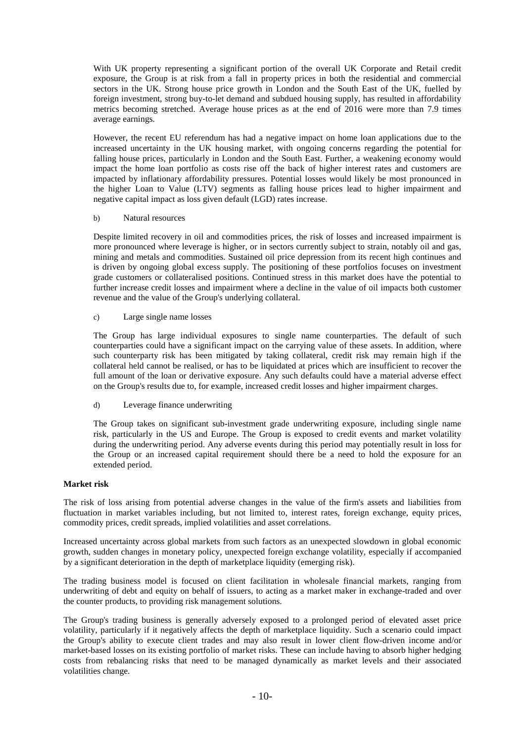With UK property representing a significant portion of the overall UK Corporate and Retail credit exposure, the Group is at risk from a fall in property prices in both the residential and commercial sectors in the UK. Strong house price growth in London and the South East of the UK, fuelled by foreign investment, strong buy-to-let demand and subdued housing supply, has resulted in affordability metrics becoming stretched. Average house prices as at the end of 2016 were more than 7.9 times average earnings.

However, the recent EU referendum has had a negative impact on home loan applications due to the increased uncertainty in the UK housing market, with ongoing concerns regarding the potential for falling house prices, particularly in London and the South East. Further, a weakening economy would impact the home loan portfolio as costs rise off the back of higher interest rates and customers are impacted by inflationary affordability pressures. Potential losses would likely be most pronounced in the higher Loan to Value (LTV) segments as falling house prices lead to higher impairment and negative capital impact as loss given default (LGD) rates increase.

### b) Natural resources

Despite limited recovery in oil and commodities prices, the risk of losses and increased impairment is more pronounced where leverage is higher, or in sectors currently subject to strain, notably oil and gas, mining and metals and commodities. Sustained oil price depression from its recent high continues and is driven by ongoing global excess supply. The positioning of these portfolios focuses on investment grade customers or collateralised positions. Continued stress in this market does have the potential to further increase credit losses and impairment where a decline in the value of oil impacts both customer revenue and the value of the Group's underlying collateral.

c) Large single name losses

The Group has large individual exposures to single name counterparties. The default of such counterparties could have a significant impact on the carrying value of these assets. In addition, where such counterparty risk has been mitigated by taking collateral, credit risk may remain high if the collateral held cannot be realised, or has to be liquidated at prices which are insufficient to recover the full amount of the loan or derivative exposure. Any such defaults could have a material adverse effect on the Group's results due to, for example, increased credit losses and higher impairment charges.

## d) Leverage finance underwriting

The Group takes on significant sub-investment grade underwriting exposure, including single name risk, particularly in the US and Europe. The Group is exposed to credit events and market volatility during the underwriting period. Any adverse events during this period may potentially result in loss for the Group or an increased capital requirement should there be a need to hold the exposure for an extended period.

### **Market risk**

The risk of loss arising from potential adverse changes in the value of the firm's assets and liabilities from fluctuation in market variables including, but not limited to, interest rates, foreign exchange, equity prices, commodity prices, credit spreads, implied volatilities and asset correlations.

Increased uncertainty across global markets from such factors as an unexpected slowdown in global economic growth, sudden changes in monetary policy, unexpected foreign exchange volatility, especially if accompanied by a significant deterioration in the depth of marketplace liquidity (emerging risk).

The trading business model is focused on client facilitation in wholesale financial markets, ranging from underwriting of debt and equity on behalf of issuers, to acting as a market maker in exchange-traded and over the counter products, to providing risk management solutions.

The Group's trading business is generally adversely exposed to a prolonged period of elevated asset price volatility, particularly if it negatively affects the depth of marketplace liquidity. Such a scenario could impact the Group's ability to execute client trades and may also result in lower client flow-driven income and/or market-based losses on its existing portfolio of market risks. These can include having to absorb higher hedging costs from rebalancing risks that need to be managed dynamically as market levels and their associated volatilities change.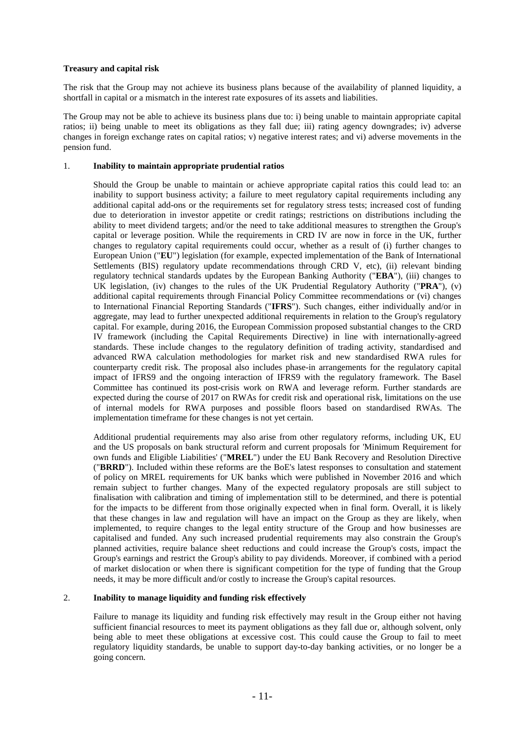# **Treasury and capital risk**

The risk that the Group may not achieve its business plans because of the availability of planned liquidity, a shortfall in capital or a mismatch in the interest rate exposures of its assets and liabilities.

The Group may not be able to achieve its business plans due to: i) being unable to maintain appropriate capital ratios; ii) being unable to meet its obligations as they fall due; iii) rating agency downgrades; iv) adverse changes in foreign exchange rates on capital ratios; v) negative interest rates; and vi) adverse movements in the pension fund.

### 1. **Inability to maintain appropriate prudential ratios**

Should the Group be unable to maintain or achieve appropriate capital ratios this could lead to: an inability to support business activity; a failure to meet regulatory capital requirements including any additional capital add-ons or the requirements set for regulatory stress tests; increased cost of funding due to deterioration in investor appetite or credit ratings; restrictions on distributions including the ability to meet dividend targets; and/or the need to take additional measures to strengthen the Group's capital or leverage position. While the requirements in CRD IV are now in force in the UK, further changes to regulatory capital requirements could occur, whether as a result of (i) further changes to European Union ("**EU**") legislation (for example, expected implementation of the Bank of International Settlements (BIS) regulatory update recommendations through CRD V, etc), (ii) relevant binding regulatory technical standards updates by the European Banking Authority ("**EBA**"), (iii) changes to UK legislation, (iv) changes to the rules of the UK Prudential Regulatory Authority ("**PRA**"), (v) additional capital requirements through Financial Policy Committee recommendations or (vi) changes to International Financial Reporting Standards ("**IFRS**"). Such changes, either individually and/or in aggregate, may lead to further unexpected additional requirements in relation to the Group's regulatory capital. For example, during 2016, the European Commission proposed substantial changes to the CRD IV framework (including the Capital Requirements Directive) in line with internationally-agreed standards. These include changes to the regulatory definition of trading activity, standardised and advanced RWA calculation methodologies for market risk and new standardised RWA rules for counterparty credit risk. The proposal also includes phase-in arrangements for the regulatory capital impact of IFRS9 and the ongoing interaction of IFRS9 with the regulatory framework. The Basel Committee has continued its post-crisis work on RWA and leverage reform. Further standards are expected during the course of 2017 on RWAs for credit risk and operational risk, limitations on the use of internal models for RWA purposes and possible floors based on standardised RWAs. The implementation timeframe for these changes is not yet certain.

Additional prudential requirements may also arise from other regulatory reforms, including UK, EU and the US proposals on bank structural reform and current proposals for 'Minimum Requirement for own funds and Eligible Liabilities' ("**MREL**") under the EU Bank Recovery and Resolution Directive ("**BRRD**"). Included within these reforms are the BoE's latest responses to consultation and statement of policy on MREL requirements for UK banks which were published in November 2016 and which remain subject to further changes. Many of the expected regulatory proposals are still subject to finalisation with calibration and timing of implementation still to be determined, and there is potential for the impacts to be different from those originally expected when in final form. Overall, it is likely that these changes in law and regulation will have an impact on the Group as they are likely, when implemented, to require changes to the legal entity structure of the Group and how businesses are capitalised and funded. Any such increased prudential requirements may also constrain the Group's planned activities, require balance sheet reductions and could increase the Group's costs, impact the Group's earnings and restrict the Group's ability to pay dividends. Moreover, if combined with a period of market dislocation or when there is significant competition for the type of funding that the Group needs, it may be more difficult and/or costly to increase the Group's capital resources.

## 2. **Inability to manage liquidity and funding risk effectively**

Failure to manage its liquidity and funding risk effectively may result in the Group either not having sufficient financial resources to meet its payment obligations as they fall due or, although solvent, only being able to meet these obligations at excessive cost. This could cause the Group to fail to meet regulatory liquidity standards, be unable to support day-to-day banking activities, or no longer be a going concern.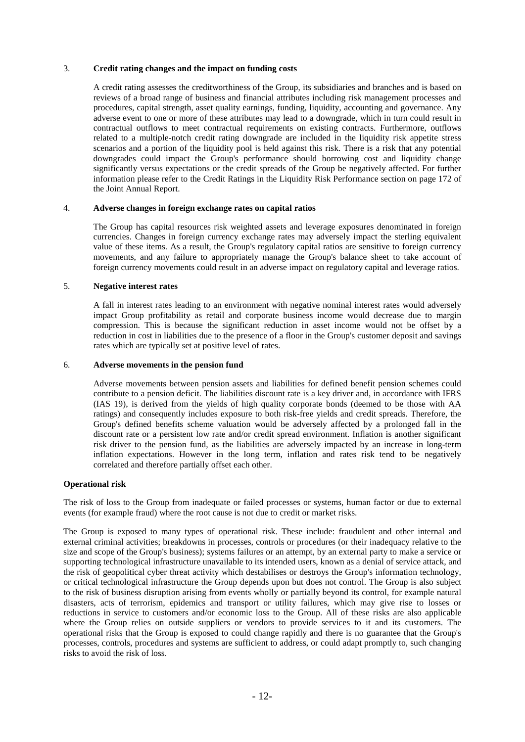# 3. **Credit rating changes and the impact on funding costs**

A credit rating assesses the creditworthiness of the Group, its subsidiaries and branches and is based on reviews of a broad range of business and financial attributes including risk management processes and procedures, capital strength, asset quality earnings, funding, liquidity, accounting and governance. Any adverse event to one or more of these attributes may lead to a downgrade, which in turn could result in contractual outflows to meet contractual requirements on existing contracts. Furthermore, outflows related to a multiple-notch credit rating downgrade are included in the liquidity risk appetite stress scenarios and a portion of the liquidity pool is held against this risk. There is a risk that any potential downgrades could impact the Group's performance should borrowing cost and liquidity change significantly versus expectations or the credit spreads of the Group be negatively affected. For further information please refer to the Credit Ratings in the Liquidity Risk Performance section on page 172 of the Joint Annual Report.

## 4. **Adverse changes in foreign exchange rates on capital ratios**

The Group has capital resources risk weighted assets and leverage exposures denominated in foreign currencies. Changes in foreign currency exchange rates may adversely impact the sterling equivalent value of these items. As a result, the Group's regulatory capital ratios are sensitive to foreign currency movements, and any failure to appropriately manage the Group's balance sheet to take account of foreign currency movements could result in an adverse impact on regulatory capital and leverage ratios.

# 5. **Negative interest rates**

A fall in interest rates leading to an environment with negative nominal interest rates would adversely impact Group profitability as retail and corporate business income would decrease due to margin compression. This is because the significant reduction in asset income would not be offset by a reduction in cost in liabilities due to the presence of a floor in the Group's customer deposit and savings rates which are typically set at positive level of rates.

## 6. **Adverse movements in the pension fund**

Adverse movements between pension assets and liabilities for defined benefit pension schemes could contribute to a pension deficit. The liabilities discount rate is a key driver and, in accordance with IFRS (IAS 19), is derived from the yields of high quality corporate bonds (deemed to be those with AA ratings) and consequently includes exposure to both risk-free yields and credit spreads. Therefore, the Group's defined benefits scheme valuation would be adversely affected by a prolonged fall in the discount rate or a persistent low rate and/or credit spread environment. Inflation is another significant risk driver to the pension fund, as the liabilities are adversely impacted by an increase in long-term inflation expectations. However in the long term, inflation and rates risk tend to be negatively correlated and therefore partially offset each other.

## **Operational risk**

The risk of loss to the Group from inadequate or failed processes or systems, human factor or due to external events (for example fraud) where the root cause is not due to credit or market risks.

The Group is exposed to many types of operational risk. These include: fraudulent and other internal and external criminal activities; breakdowns in processes, controls or procedures (or their inadequacy relative to the size and scope of the Group's business); systems failures or an attempt, by an external party to make a service or supporting technological infrastructure unavailable to its intended users, known as a denial of service attack, and the risk of geopolitical cyber threat activity which destabilises or destroys the Group's information technology, or critical technological infrastructure the Group depends upon but does not control. The Group is also subject to the risk of business disruption arising from events wholly or partially beyond its control, for example natural disasters, acts of terrorism, epidemics and transport or utility failures, which may give rise to losses or reductions in service to customers and/or economic loss to the Group. All of these risks are also applicable where the Group relies on outside suppliers or vendors to provide services to it and its customers. The operational risks that the Group is exposed to could change rapidly and there is no guarantee that the Group's processes, controls, procedures and systems are sufficient to address, or could adapt promptly to, such changing risks to avoid the risk of loss.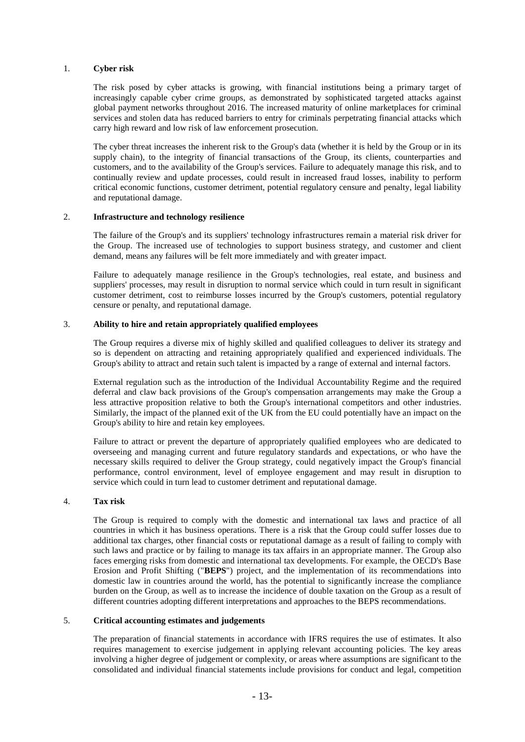### 1. **Cyber risk**

The risk posed by cyber attacks is growing, with financial institutions being a primary target of increasingly capable cyber crime groups, as demonstrated by sophisticated targeted attacks against global payment networks throughout 2016. The increased maturity of online marketplaces for criminal services and stolen data has reduced barriers to entry for criminals perpetrating financial attacks which carry high reward and low risk of law enforcement prosecution.

The cyber threat increases the inherent risk to the Group's data (whether it is held by the Group or in its supply chain), to the integrity of financial transactions of the Group, its clients, counterparties and customers, and to the availability of the Group's services. Failure to adequately manage this risk, and to continually review and update processes, could result in increased fraud losses, inability to perform critical economic functions, customer detriment, potential regulatory censure and penalty, legal liability and reputational damage.

# 2. **Infrastructure and technology resilience**

The failure of the Group's and its suppliers' technology infrastructures remain a material risk driver for the Group. The increased use of technologies to support business strategy, and customer and client demand, means any failures will be felt more immediately and with greater impact.

Failure to adequately manage resilience in the Group's technologies, real estate, and business and suppliers' processes, may result in disruption to normal service which could in turn result in significant customer detriment, cost to reimburse losses incurred by the Group's customers, potential regulatory censure or penalty, and reputational damage.

### 3. **Ability to hire and retain appropriately qualified employees**

The Group requires a diverse mix of highly skilled and qualified colleagues to deliver its strategy and so is dependent on attracting and retaining appropriately qualified and experienced individuals. The Group's ability to attract and retain such talent is impacted by a range of external and internal factors.

External regulation such as the introduction of the Individual Accountability Regime and the required deferral and claw back provisions of the Group's compensation arrangements may make the Group a less attractive proposition relative to both the Group's international competitors and other industries. Similarly, the impact of the planned exit of the UK from the EU could potentially have an impact on the Group's ability to hire and retain key employees.

Failure to attract or prevent the departure of appropriately qualified employees who are dedicated to overseeing and managing current and future regulatory standards and expectations, or who have the necessary skills required to deliver the Group strategy, could negatively impact the Group's financial performance, control environment, level of employee engagement and may result in disruption to service which could in turn lead to customer detriment and reputational damage.

### 4. **Tax risk**

The Group is required to comply with the domestic and international tax laws and practice of all countries in which it has business operations. There is a risk that the Group could suffer losses due to additional tax charges, other financial costs or reputational damage as a result of failing to comply with such laws and practice or by failing to manage its tax affairs in an appropriate manner. The Group also faces emerging risks from domestic and international tax developments. For example, the OECD's Base Erosion and Profit Shifting ("**BEPS**") project, and the implementation of its recommendations into domestic law in countries around the world, has the potential to significantly increase the compliance burden on the Group, as well as to increase the incidence of double taxation on the Group as a result of different countries adopting different interpretations and approaches to the BEPS recommendations.

### 5. **Critical accounting estimates and judgements**

The preparation of financial statements in accordance with IFRS requires the use of estimates. It also requires management to exercise judgement in applying relevant accounting policies. The key areas involving a higher degree of judgement or complexity, or areas where assumptions are significant to the consolidated and individual financial statements include provisions for conduct and legal, competition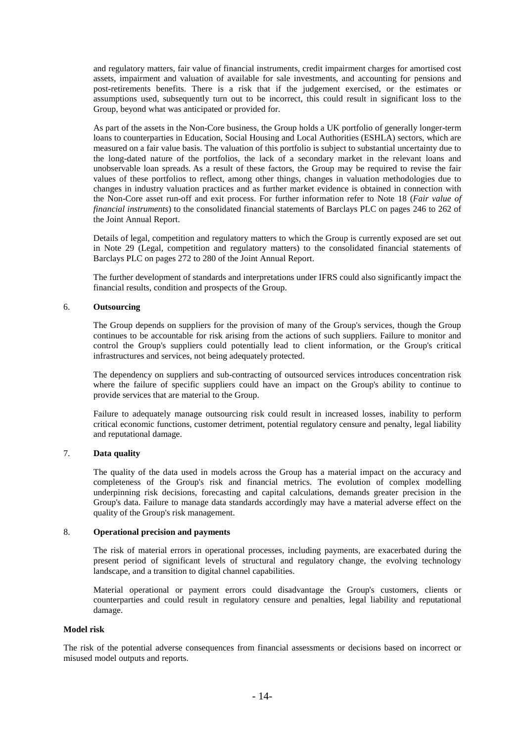and regulatory matters, fair value of financial instruments, credit impairment charges for amortised cost assets, impairment and valuation of available for sale investments, and accounting for pensions and post-retirements benefits. There is a risk that if the judgement exercised, or the estimates or assumptions used, subsequently turn out to be incorrect, this could result in significant loss to the Group, beyond what was anticipated or provided for.

As part of the assets in the Non-Core business, the Group holds a UK portfolio of generally longer-term loans to counterparties in Education, Social Housing and Local Authorities (ESHLA) sectors, which are measured on a fair value basis. The valuation of this portfolio is subject to substantial uncertainty due to the long-dated nature of the portfolios, the lack of a secondary market in the relevant loans and unobservable loan spreads. As a result of these factors, the Group may be required to revise the fair values of these portfolios to reflect, among other things, changes in valuation methodologies due to changes in industry valuation practices and as further market evidence is obtained in connection with the Non-Core asset run-off and exit process. For further information refer to Note 18 (*Fair value of financial instruments*) to the consolidated financial statements of Barclays PLC on pages 246 to 262 of the Joint Annual Report.

Details of legal, competition and regulatory matters to which the Group is currently exposed are set out in Note 29 (Legal, competition and regulatory matters) to the consolidated financial statements of Barclays PLC on pages 272 to 280 of the Joint Annual Report.

The further development of standards and interpretations under IFRS could also significantly impact the financial results, condition and prospects of the Group.

### 6. **Outsourcing**

The Group depends on suppliers for the provision of many of the Group's services, though the Group continues to be accountable for risk arising from the actions of such suppliers. Failure to monitor and control the Group's suppliers could potentially lead to client information, or the Group's critical infrastructures and services, not being adequately protected.

The dependency on suppliers and sub-contracting of outsourced services introduces concentration risk where the failure of specific suppliers could have an impact on the Group's ability to continue to provide services that are material to the Group.

Failure to adequately manage outsourcing risk could result in increased losses, inability to perform critical economic functions, customer detriment, potential regulatory censure and penalty, legal liability and reputational damage.

## 7. **Data quality**

The quality of the data used in models across the Group has a material impact on the accuracy and completeness of the Group's risk and financial metrics. The evolution of complex modelling underpinning risk decisions, forecasting and capital calculations, demands greater precision in the Group's data. Failure to manage data standards accordingly may have a material adverse effect on the quality of the Group's risk management.

### 8. **Operational precision and payments**

The risk of material errors in operational processes, including payments, are exacerbated during the present period of significant levels of structural and regulatory change, the evolving technology landscape, and a transition to digital channel capabilities.

Material operational or payment errors could disadvantage the Group's customers, clients or counterparties and could result in regulatory censure and penalties, legal liability and reputational damage.

## **Model risk**

The risk of the potential adverse consequences from financial assessments or decisions based on incorrect or misused model outputs and reports.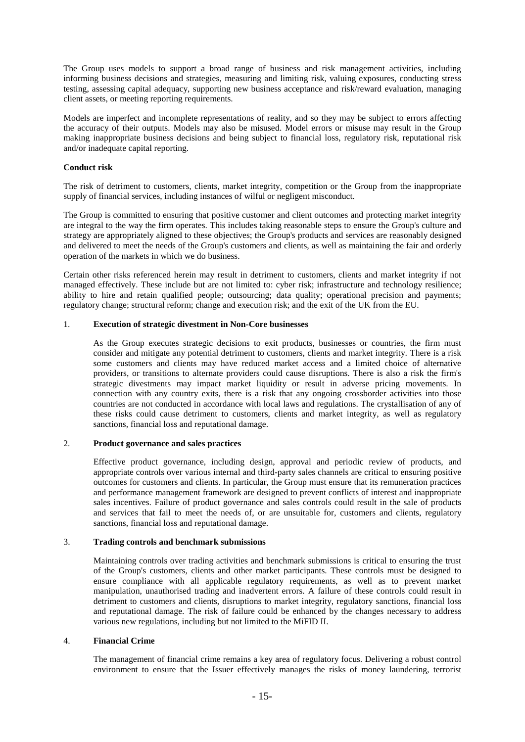The Group uses models to support a broad range of business and risk management activities, including informing business decisions and strategies, measuring and limiting risk, valuing exposures, conducting stress testing, assessing capital adequacy, supporting new business acceptance and risk/reward evaluation, managing client assets, or meeting reporting requirements.

Models are imperfect and incomplete representations of reality, and so they may be subject to errors affecting the accuracy of their outputs. Models may also be misused. Model errors or misuse may result in the Group making inappropriate business decisions and being subject to financial loss, regulatory risk, reputational risk and/or inadequate capital reporting.

# **Conduct risk**

The risk of detriment to customers, clients, market integrity, competition or the Group from the inappropriate supply of financial services, including instances of wilful or negligent misconduct.

The Group is committed to ensuring that positive customer and client outcomes and protecting market integrity are integral to the way the firm operates. This includes taking reasonable steps to ensure the Group's culture and strategy are appropriately aligned to these objectives; the Group's products and services are reasonably designed and delivered to meet the needs of the Group's customers and clients, as well as maintaining the fair and orderly operation of the markets in which we do business.

Certain other risks referenced herein may result in detriment to customers, clients and market integrity if not managed effectively. These include but are not limited to: cyber risk; infrastructure and technology resilience; ability to hire and retain qualified people; outsourcing; data quality; operational precision and payments; regulatory change; structural reform; change and execution risk; and the exit of the UK from the EU.

# 1. **Execution of strategic divestment in Non-Core businesses**

As the Group executes strategic decisions to exit products, businesses or countries, the firm must consider and mitigate any potential detriment to customers, clients and market integrity. There is a risk some customers and clients may have reduced market access and a limited choice of alternative providers, or transitions to alternate providers could cause disruptions. There is also a risk the firm's strategic divestments may impact market liquidity or result in adverse pricing movements. In connection with any country exits, there is a risk that any ongoing crossborder activities into those countries are not conducted in accordance with local laws and regulations. The crystallisation of any of these risks could cause detriment to customers, clients and market integrity, as well as regulatory sanctions, financial loss and reputational damage.

## 2. **Product governance and sales practices**

Effective product governance, including design, approval and periodic review of products, and appropriate controls over various internal and third-party sales channels are critical to ensuring positive outcomes for customers and clients. In particular, the Group must ensure that its remuneration practices and performance management framework are designed to prevent conflicts of interest and inappropriate sales incentives. Failure of product governance and sales controls could result in the sale of products and services that fail to meet the needs of, or are unsuitable for, customers and clients, regulatory sanctions, financial loss and reputational damage.

## 3. **Trading controls and benchmark submissions**

Maintaining controls over trading activities and benchmark submissions is critical to ensuring the trust of the Group's customers, clients and other market participants. These controls must be designed to ensure compliance with all applicable regulatory requirements, as well as to prevent market manipulation, unauthorised trading and inadvertent errors. A failure of these controls could result in detriment to customers and clients, disruptions to market integrity, regulatory sanctions, financial loss and reputational damage. The risk of failure could be enhanced by the changes necessary to address various new regulations, including but not limited to the MiFID II.

## 4. **Financial Crime**

The management of financial crime remains a key area of regulatory focus. Delivering a robust control environment to ensure that the Issuer effectively manages the risks of money laundering, terrorist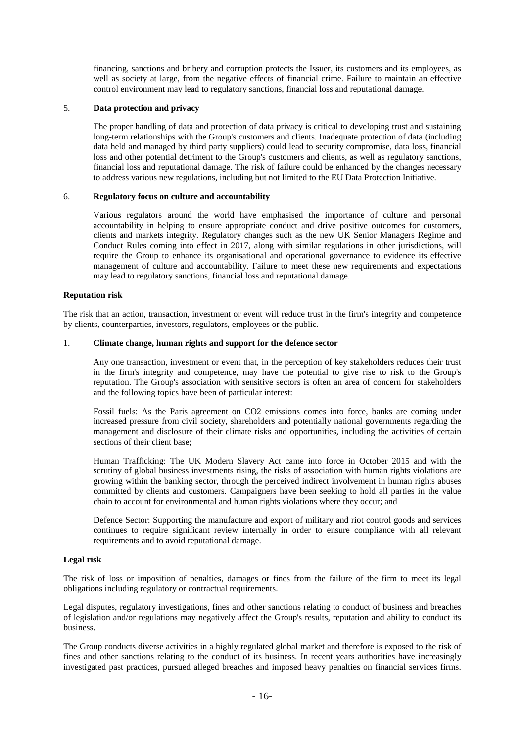financing, sanctions and bribery and corruption protects the Issuer, its customers and its employees, as well as society at large, from the negative effects of financial crime. Failure to maintain an effective control environment may lead to regulatory sanctions, financial loss and reputational damage.

## 5. **Data protection and privacy**

The proper handling of data and protection of data privacy is critical to developing trust and sustaining long-term relationships with the Group's customers and clients. Inadequate protection of data (including data held and managed by third party suppliers) could lead to security compromise, data loss, financial loss and other potential detriment to the Group's customers and clients, as well as regulatory sanctions, financial loss and reputational damage. The risk of failure could be enhanced by the changes necessary to address various new regulations, including but not limited to the EU Data Protection Initiative.

### 6. **Regulatory focus on culture and accountability**

Various regulators around the world have emphasised the importance of culture and personal accountability in helping to ensure appropriate conduct and drive positive outcomes for customers, clients and markets integrity. Regulatory changes such as the new UK Senior Managers Regime and Conduct Rules coming into effect in 2017, along with similar regulations in other jurisdictions, will require the Group to enhance its organisational and operational governance to evidence its effective management of culture and accountability. Failure to meet these new requirements and expectations may lead to regulatory sanctions, financial loss and reputational damage.

### **Reputation risk**

The risk that an action, transaction, investment or event will reduce trust in the firm's integrity and competence by clients, counterparties, investors, regulators, employees or the public.

# 1. **Climate change, human rights and support for the defence sector**

Any one transaction, investment or event that, in the perception of key stakeholders reduces their trust in the firm's integrity and competence, may have the potential to give rise to risk to the Group's reputation. The Group's association with sensitive sectors is often an area of concern for stakeholders and the following topics have been of particular interest:

Fossil fuels: As the Paris agreement on CO2 emissions comes into force, banks are coming under increased pressure from civil society, shareholders and potentially national governments regarding the management and disclosure of their climate risks and opportunities, including the activities of certain sections of their client base;

Human Trafficking: The UK Modern Slavery Act came into force in October 2015 and with the scrutiny of global business investments rising, the risks of association with human rights violations are growing within the banking sector, through the perceived indirect involvement in human rights abuses committed by clients and customers. Campaigners have been seeking to hold all parties in the value chain to account for environmental and human rights violations where they occur; and

Defence Sector: Supporting the manufacture and export of military and riot control goods and services continues to require significant review internally in order to ensure compliance with all relevant requirements and to avoid reputational damage.

### **Legal risk**

The risk of loss or imposition of penalties, damages or fines from the failure of the firm to meet its legal obligations including regulatory or contractual requirements.

Legal disputes, regulatory investigations, fines and other sanctions relating to conduct of business and breaches of legislation and/or regulations may negatively affect the Group's results, reputation and ability to conduct its business.

The Group conducts diverse activities in a highly regulated global market and therefore is exposed to the risk of fines and other sanctions relating to the conduct of its business. In recent years authorities have increasingly investigated past practices, pursued alleged breaches and imposed heavy penalties on financial services firms.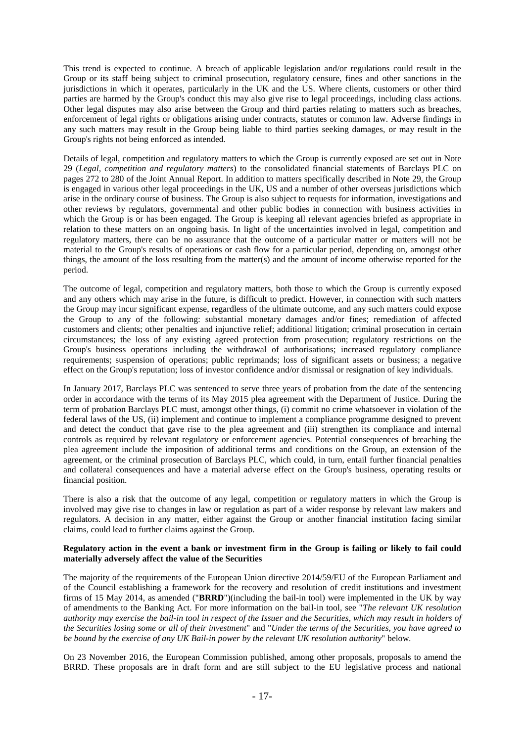This trend is expected to continue. A breach of applicable legislation and/or regulations could result in the Group or its staff being subject to criminal prosecution, regulatory censure, fines and other sanctions in the jurisdictions in which it operates, particularly in the UK and the US. Where clients, customers or other third parties are harmed by the Group's conduct this may also give rise to legal proceedings, including class actions. Other legal disputes may also arise between the Group and third parties relating to matters such as breaches, enforcement of legal rights or obligations arising under contracts, statutes or common law. Adverse findings in any such matters may result in the Group being liable to third parties seeking damages, or may result in the Group's rights not being enforced as intended.

Details of legal, competition and regulatory matters to which the Group is currently exposed are set out in Note 29 (*Legal, competition and regulatory matters*) to the consolidated financial statements of Barclays PLC on pages 272 to 280 of the Joint Annual Report. In addition to matters specifically described in Note 29, the Group is engaged in various other legal proceedings in the UK, US and a number of other overseas jurisdictions which arise in the ordinary course of business. The Group is also subject to requests for information, investigations and other reviews by regulators, governmental and other public bodies in connection with business activities in which the Group is or has been engaged. The Group is keeping all relevant agencies briefed as appropriate in relation to these matters on an ongoing basis. In light of the uncertainties involved in legal, competition and regulatory matters, there can be no assurance that the outcome of a particular matter or matters will not be material to the Group's results of operations or cash flow for a particular period, depending on, amongst other things, the amount of the loss resulting from the matter(s) and the amount of income otherwise reported for the period.

The outcome of legal, competition and regulatory matters, both those to which the Group is currently exposed and any others which may arise in the future, is difficult to predict. However, in connection with such matters the Group may incur significant expense, regardless of the ultimate outcome, and any such matters could expose the Group to any of the following: substantial monetary damages and/or fines; remediation of affected customers and clients; other penalties and injunctive relief; additional litigation; criminal prosecution in certain circumstances; the loss of any existing agreed protection from prosecution; regulatory restrictions on the Group's business operations including the withdrawal of authorisations; increased regulatory compliance requirements; suspension of operations; public reprimands; loss of significant assets or business; a negative effect on the Group's reputation; loss of investor confidence and/or dismissal or resignation of key individuals.

In January 2017, Barclays PLC was sentenced to serve three years of probation from the date of the sentencing order in accordance with the terms of its May 2015 plea agreement with the Department of Justice. During the term of probation Barclays PLC must, amongst other things, (i) commit no crime whatsoever in violation of the federal laws of the US, (ii) implement and continue to implement a compliance programme designed to prevent and detect the conduct that gave rise to the plea agreement and (iii) strengthen its compliance and internal controls as required by relevant regulatory or enforcement agencies. Potential consequences of breaching the plea agreement include the imposition of additional terms and conditions on the Group, an extension of the agreement, or the criminal prosecution of Barclays PLC, which could, in turn, entail further financial penalties and collateral consequences and have a material adverse effect on the Group's business, operating results or financial position.

There is also a risk that the outcome of any legal, competition or regulatory matters in which the Group is involved may give rise to changes in law or regulation as part of a wider response by relevant law makers and regulators. A decision in any matter, either against the Group or another financial institution facing similar claims, could lead to further claims against the Group.

### **Regulatory action in the event a bank or investment firm in the Group is failing or likely to fail could materially adversely affect the value of the Securities**

The majority of the requirements of the European Union directive 2014/59/EU of the European Parliament and of the Council establishing a framework for the recovery and resolution of credit institutions and investment firms of 15 May 2014, as amended ("**BRRD**")(including the bail-in tool) were implemented in the UK by way of amendments to the Banking Act. For more information on the bail-in tool, see "*The relevant UK resolution authority may exercise the bail-in tool in respect of the Issuer and the Securities, which may result in holders of the Securities losing some or all of their investment*" and "*Under the terms of the Securities, you have agreed to be bound by the exercise of any UK Bail-in power by the relevant UK resolution authority*" below.

On 23 November 2016, the European Commission published, among other proposals, proposals to amend the BRRD. These proposals are in draft form and are still subject to the EU legislative process and national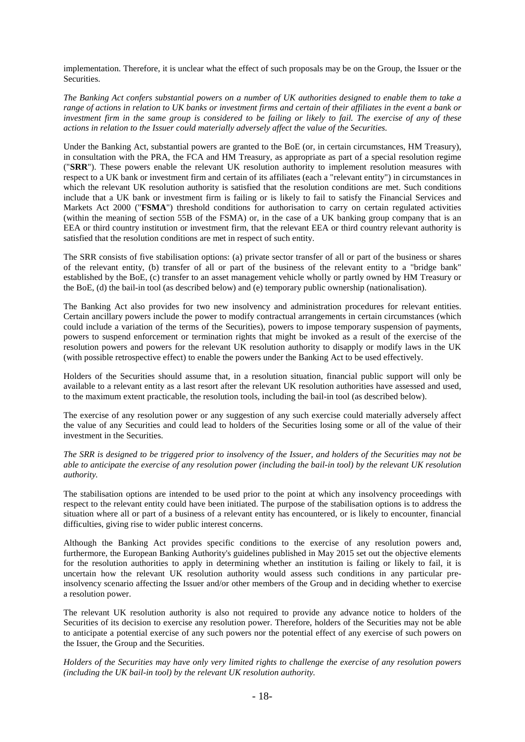implementation. Therefore, it is unclear what the effect of such proposals may be on the Group, the Issuer or the Securities.

*The Banking Act confers substantial powers on a number of UK authorities designed to enable them to take a range of actions in relation to UK banks or investment firms and certain of their affiliates in the event a bank or investment firm in the same group is considered to be failing or likely to fail. The exercise of any of these actions in relation to the Issuer could materially adversely affect the value of the Securities.*

Under the Banking Act, substantial powers are granted to the BoE (or, in certain circumstances, HM Treasury), in consultation with the PRA, the FCA and HM Treasury, as appropriate as part of a special resolution regime ("**SRR**"). These powers enable the relevant UK resolution authority to implement resolution measures with respect to a UK bank or investment firm and certain of its affiliates (each a "relevant entity") in circumstances in which the relevant UK resolution authority is satisfied that the resolution conditions are met. Such conditions include that a UK bank or investment firm is failing or is likely to fail to satisfy the Financial Services and Markets Act 2000 ("**FSMA**") threshold conditions for authorisation to carry on certain regulated activities (within the meaning of section 55B of the FSMA) or, in the case of a UK banking group company that is an EEA or third country institution or investment firm, that the relevant EEA or third country relevant authority is satisfied that the resolution conditions are met in respect of such entity.

The SRR consists of five stabilisation options: (a) private sector transfer of all or part of the business or shares of the relevant entity, (b) transfer of all or part of the business of the relevant entity to a "bridge bank" established by the BoE, (c) transfer to an asset management vehicle wholly or partly owned by HM Treasury or the BoE, (d) the bail-in tool (as described below) and (e) temporary public ownership (nationalisation).

The Banking Act also provides for two new insolvency and administration procedures for relevant entities. Certain ancillary powers include the power to modify contractual arrangements in certain circumstances (which could include a variation of the terms of the Securities), powers to impose temporary suspension of payments, powers to suspend enforcement or termination rights that might be invoked as a result of the exercise of the resolution powers and powers for the relevant UK resolution authority to disapply or modify laws in the UK (with possible retrospective effect) to enable the powers under the Banking Act to be used effectively.

Holders of the Securities should assume that, in a resolution situation, financial public support will only be available to a relevant entity as a last resort after the relevant UK resolution authorities have assessed and used, to the maximum extent practicable, the resolution tools, including the bail-in tool (as described below).

The exercise of any resolution power or any suggestion of any such exercise could materially adversely affect the value of any Securities and could lead to holders of the Securities losing some or all of the value of their investment in the Securities.

*The SRR is designed to be triggered prior to insolvency of the Issuer, and holders of the Securities may not be able to anticipate the exercise of any resolution power (including the bail-in tool) by the relevant UK resolution authority.*

The stabilisation options are intended to be used prior to the point at which any insolvency proceedings with respect to the relevant entity could have been initiated. The purpose of the stabilisation options is to address the situation where all or part of a business of a relevant entity has encountered, or is likely to encounter, financial difficulties, giving rise to wider public interest concerns.

Although the Banking Act provides specific conditions to the exercise of any resolution powers and, furthermore, the European Banking Authority's guidelines published in May 2015 set out the objective elements for the resolution authorities to apply in determining whether an institution is failing or likely to fail, it is uncertain how the relevant UK resolution authority would assess such conditions in any particular preinsolvency scenario affecting the Issuer and/or other members of the Group and in deciding whether to exercise a resolution power.

The relevant UK resolution authority is also not required to provide any advance notice to holders of the Securities of its decision to exercise any resolution power. Therefore, holders of the Securities may not be able to anticipate a potential exercise of any such powers nor the potential effect of any exercise of such powers on the Issuer, the Group and the Securities.

*Holders of the Securities may have only very limited rights to challenge the exercise of any resolution powers (including the UK bail-in tool) by the relevant UK resolution authority.*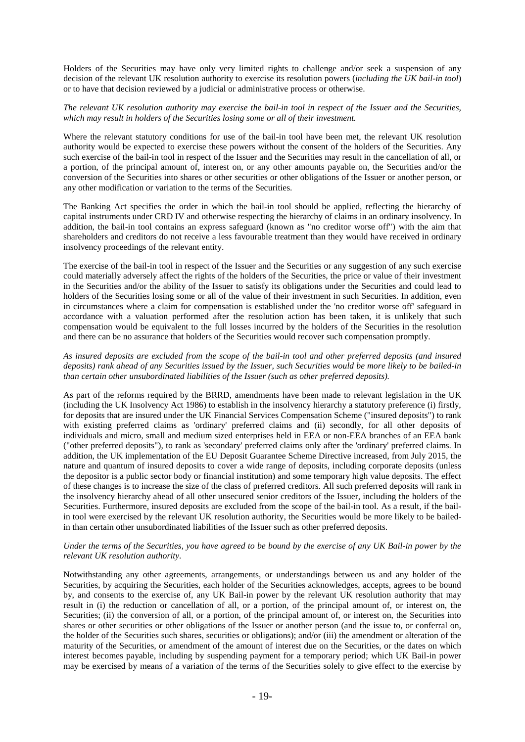Holders of the Securities may have only very limited rights to challenge and/or seek a suspension of any decision of the relevant UK resolution authority to exercise its resolution powers (*including the UK bail-in tool*) or to have that decision reviewed by a judicial or administrative process or otherwise.

### *The relevant UK resolution authority may exercise the bail-in tool in respect of the Issuer and the Securities, which may result in holders of the Securities losing some or all of their investment.*

Where the relevant statutory conditions for use of the bail-in tool have been met, the relevant UK resolution authority would be expected to exercise these powers without the consent of the holders of the Securities. Any such exercise of the bail-in tool in respect of the Issuer and the Securities may result in the cancellation of all, or a portion, of the principal amount of, interest on, or any other amounts payable on, the Securities and/or the conversion of the Securities into shares or other securities or other obligations of the Issuer or another person, or any other modification or variation to the terms of the Securities.

The Banking Act specifies the order in which the bail-in tool should be applied, reflecting the hierarchy of capital instruments under CRD IV and otherwise respecting the hierarchy of claims in an ordinary insolvency. In addition, the bail-in tool contains an express safeguard (known as "no creditor worse off") with the aim that shareholders and creditors do not receive a less favourable treatment than they would have received in ordinary insolvency proceedings of the relevant entity.

The exercise of the bail-in tool in respect of the Issuer and the Securities or any suggestion of any such exercise could materially adversely affect the rights of the holders of the Securities, the price or value of their investment in the Securities and/or the ability of the Issuer to satisfy its obligations under the Securities and could lead to holders of the Securities losing some or all of the value of their investment in such Securities. In addition, even in circumstances where a claim for compensation is established under the 'no creditor worse off' safeguard in accordance with a valuation performed after the resolution action has been taken, it is unlikely that such compensation would be equivalent to the full losses incurred by the holders of the Securities in the resolution and there can be no assurance that holders of the Securities would recover such compensation promptly.

# *As insured deposits are excluded from the scope of the bail-in tool and other preferred deposits (and insured deposits) rank ahead of any Securities issued by the Issuer, such Securities would be more likely to be bailed-in than certain other unsubordinated liabilities of the Issuer (such as other preferred deposits).*

As part of the reforms required by the BRRD, amendments have been made to relevant legislation in the UK (including the UK Insolvency Act 1986) to establish in the insolvency hierarchy a statutory preference (i) firstly, for deposits that are insured under the UK Financial Services Compensation Scheme ("insured deposits") to rank with existing preferred claims as 'ordinary' preferred claims and (ii) secondly, for all other deposits of individuals and micro, small and medium sized enterprises held in EEA or non-EEA branches of an EEA bank ("other preferred deposits"), to rank as 'secondary' preferred claims only after the 'ordinary' preferred claims. In addition, the UK implementation of the EU Deposit Guarantee Scheme Directive increased, from July 2015, the nature and quantum of insured deposits to cover a wide range of deposits, including corporate deposits (unless the depositor is a public sector body or financial institution) and some temporary high value deposits. The effect of these changes is to increase the size of the class of preferred creditors. All such preferred deposits will rank in the insolvency hierarchy ahead of all other unsecured senior creditors of the Issuer, including the holders of the Securities. Furthermore, insured deposits are excluded from the scope of the bail-in tool. As a result, if the bailin tool were exercised by the relevant UK resolution authority, the Securities would be more likely to be bailedin than certain other unsubordinated liabilities of the Issuer such as other preferred deposits.

## *Under the terms of the Securities, you have agreed to be bound by the exercise of any UK Bail-in power by the relevant UK resolution authority.*

Notwithstanding any other agreements, arrangements, or understandings between us and any holder of the Securities, by acquiring the Securities, each holder of the Securities acknowledges, accepts, agrees to be bound by, and consents to the exercise of, any UK Bail-in power by the relevant UK resolution authority that may result in (i) the reduction or cancellation of all, or a portion, of the principal amount of, or interest on, the Securities; (ii) the conversion of all, or a portion, of the principal amount of, or interest on, the Securities into shares or other securities or other obligations of the Issuer or another person (and the issue to, or conferral on, the holder of the Securities such shares, securities or obligations); and/or (iii) the amendment or alteration of the maturity of the Securities, or amendment of the amount of interest due on the Securities, or the dates on which interest becomes payable, including by suspending payment for a temporary period; which UK Bail-in power may be exercised by means of a variation of the terms of the Securities solely to give effect to the exercise by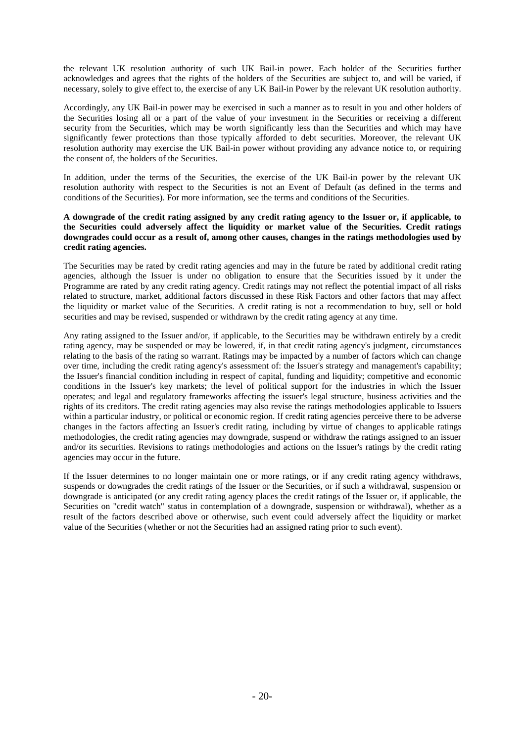the relevant UK resolution authority of such UK Bail-in power. Each holder of the Securities further acknowledges and agrees that the rights of the holders of the Securities are subject to, and will be varied, if necessary, solely to give effect to, the exercise of any UK Bail-in Power by the relevant UK resolution authority.

Accordingly, any UK Bail-in power may be exercised in such a manner as to result in you and other holders of the Securities losing all or a part of the value of your investment in the Securities or receiving a different security from the Securities, which may be worth significantly less than the Securities and which may have significantly fewer protections than those typically afforded to debt securities. Moreover, the relevant UK resolution authority may exercise the UK Bail-in power without providing any advance notice to, or requiring the consent of, the holders of the Securities.

In addition, under the terms of the Securities, the exercise of the UK Bail-in power by the relevant UK resolution authority with respect to the Securities is not an Event of Default (as defined in the terms and conditions of the Securities). For more information, see the terms and conditions of the Securities.

## **A downgrade of the credit rating assigned by any credit rating agency to the Issuer or, if applicable, to the Securities could adversely affect the liquidity or market value of the Securities. Credit ratings downgrades could occur as a result of, among other causes, changes in the ratings methodologies used by credit rating agencies.**

The Securities may be rated by credit rating agencies and may in the future be rated by additional credit rating agencies, although the Issuer is under no obligation to ensure that the Securities issued by it under the Programme are rated by any credit rating agency. Credit ratings may not reflect the potential impact of all risks related to structure, market, additional factors discussed in these Risk Factors and other factors that may affect the liquidity or market value of the Securities. A credit rating is not a recommendation to buy, sell or hold securities and may be revised, suspended or withdrawn by the credit rating agency at any time.

Any rating assigned to the Issuer and/or, if applicable, to the Securities may be withdrawn entirely by a credit rating agency, may be suspended or may be lowered, if, in that credit rating agency's judgment, circumstances relating to the basis of the rating so warrant. Ratings may be impacted by a number of factors which can change over time, including the credit rating agency's assessment of: the Issuer's strategy and management's capability; the Issuer's financial condition including in respect of capital, funding and liquidity; competitive and economic conditions in the Issuer's key markets; the level of political support for the industries in which the Issuer operates; and legal and regulatory frameworks affecting the issuer's legal structure, business activities and the rights of its creditors. The credit rating agencies may also revise the ratings methodologies applicable to Issuers within a particular industry, or political or economic region. If credit rating agencies perceive there to be adverse changes in the factors affecting an Issuer's credit rating, including by virtue of changes to applicable ratings methodologies, the credit rating agencies may downgrade, suspend or withdraw the ratings assigned to an issuer and/or its securities. Revisions to ratings methodologies and actions on the Issuer's ratings by the credit rating agencies may occur in the future.

If the Issuer determines to no longer maintain one or more ratings, or if any credit rating agency withdraws, suspends or downgrades the credit ratings of the Issuer or the Securities, or if such a withdrawal, suspension or downgrade is anticipated (or any credit rating agency places the credit ratings of the Issuer or, if applicable, the Securities on "credit watch" status in contemplation of a downgrade, suspension or withdrawal), whether as a result of the factors described above or otherwise, such event could adversely affect the liquidity or market value of the Securities (whether or not the Securities had an assigned rating prior to such event).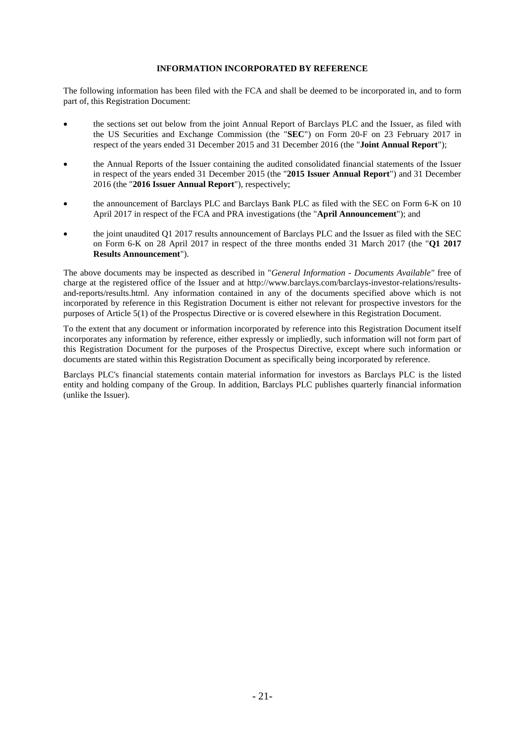# **INFORMATION INCORPORATED BY REFERENCE**

The following information has been filed with the FCA and shall be deemed to be incorporated in, and to form part of, this Registration Document:

- the sections set out below from the joint Annual Report of Barclays PLC and the Issuer, as filed with the US Securities and Exchange Commission (the "**SEC**") on Form 20-F on 23 February 2017 in respect of the years ended 31 December 2015 and 31 December 2016 (the "**Joint Annual Report**");
- the Annual Reports of the Issuer containing the audited consolidated financial statements of the Issuer in respect of the years ended 31 December 2015 (the "**2015 Issuer Annual Report**") and 31 December 2016 (the "**2016 Issuer Annual Report**"), respectively;
- the announcement of Barclays PLC and Barclays Bank PLC as filed with the SEC on Form 6-K on 10 April 2017 in respect of the FCA and PRA investigations (the "**April Announcement**"); and
- the joint unaudited Q1 2017 results announcement of Barclays PLC and the Issuer as filed with the SEC on Form 6-K on 28 April 2017 in respect of the three months ended 31 March 2017 (the "**Q1 2017 Results Announcement**").

The above documents may be inspected as described in "*General Information - Documents Available"* free of charge at the registered office of the Issuer and at http://www.barclays.com/barclays-investor-relations/resultsand-reports/results.html. Any information contained in any of the documents specified above which is not incorporated by reference in this Registration Document is either not relevant for prospective investors for the purposes of Article 5(1) of the Prospectus Directive or is covered elsewhere in this Registration Document.

To the extent that any document or information incorporated by reference into this Registration Document itself incorporates any information by reference, either expressly or impliedly, such information will not form part of this Registration Document for the purposes of the Prospectus Directive, except where such information or documents are stated within this Registration Document as specifically being incorporated by reference.

Barclays PLC's financial statements contain material information for investors as Barclays PLC is the listed entity and holding company of the Group. In addition, Barclays PLC publishes quarterly financial information (unlike the Issuer).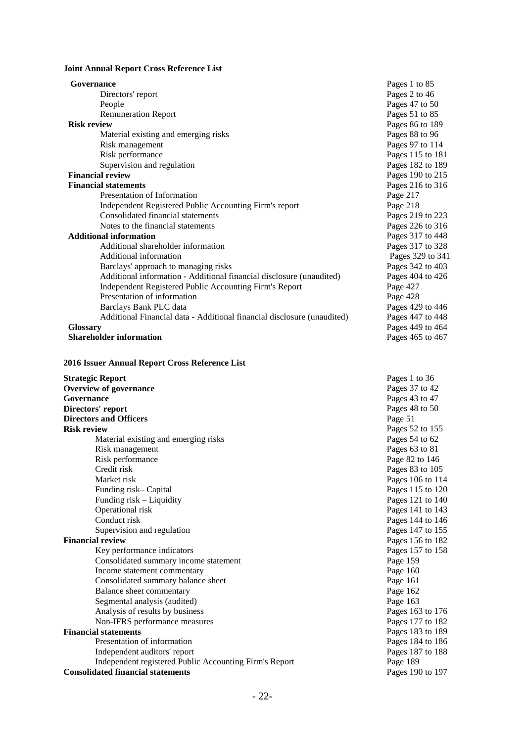# **Joint Annual Report Cross Reference List**

| Governance                                                              | Pages 1 to 85    |
|-------------------------------------------------------------------------|------------------|
| Directors' report                                                       | Pages 2 to 46    |
| People                                                                  | Pages 47 to 50   |
| <b>Remuneration Report</b>                                              | Pages 51 to 85   |
| <b>Risk review</b>                                                      | Pages 86 to 189  |
| Material existing and emerging risks                                    | Pages 88 to 96   |
| Risk management                                                         | Pages 97 to 114  |
| Risk performance                                                        | Pages 115 to 181 |
| Supervision and regulation                                              | Pages 182 to 189 |
| <b>Financial review</b>                                                 | Pages 190 to 215 |
| <b>Financial statements</b>                                             | Pages 216 to 316 |
| Presentation of Information                                             | Page 217         |
| Independent Registered Public Accounting Firm's report                  | Page 218         |
| Consolidated financial statements                                       | Pages 219 to 223 |
| Notes to the financial statements                                       | Pages 226 to 316 |
| <b>Additional information</b>                                           | Pages 317 to 448 |
| Additional shareholder information                                      | Pages 317 to 328 |
| Additional information                                                  | Pages 329 to 341 |
| Barclays' approach to managing risks                                    | Pages 342 to 403 |
| Additional information - Additional financial disclosure (unaudited)    | Pages 404 to 426 |
| Independent Registered Public Accounting Firm's Report                  | Page 427         |
| Presentation of information                                             | Page 428         |
| Barclays Bank PLC data                                                  | Pages 429 to 446 |
| Additional Financial data - Additional financial disclosure (unaudited) | Pages 447 to 448 |
| <b>Glossary</b>                                                         | Pages 449 to 464 |
| <b>Shareholder information</b>                                          | Pages 465 to 467 |

# **2016 Issuer Annual Report Cross Reference List**

| <b>Strategic Report</b>                                | Pages 1 to 36    |
|--------------------------------------------------------|------------------|
| <b>Overview of governance</b>                          | Pages 37 to 42   |
| Governance                                             | Pages 43 to 47   |
| Directors' report                                      | Pages 48 to 50   |
| <b>Directors and Officers</b>                          | Page 51          |
| <b>Risk review</b>                                     | Pages 52 to 155  |
| Material existing and emerging risks                   | Pages 54 to 62   |
| Risk management                                        | Pages 63 to 81   |
| Risk performance                                       | Page 82 to 146   |
| Credit risk                                            | Pages 83 to 105  |
| Market risk                                            | Pages 106 to 114 |
| Funding risk-Capital                                   | Pages 115 to 120 |
| Funding risk – Liquidity                               | Pages 121 to 140 |
| Operational risk                                       | Pages 141 to 143 |
| Conduct risk                                           | Pages 144 to 146 |
| Supervision and regulation                             | Pages 147 to 155 |
| <b>Financial review</b>                                | Pages 156 to 182 |
| Key performance indicators                             | Pages 157 to 158 |
| Consolidated summary income statement                  | Page 159         |
| Income statement commentary                            | Page 160         |
| Consolidated summary balance sheet                     | Page 161         |
| Balance sheet commentary                               | Page 162         |
| Segmental analysis (audited)                           | Page 163         |
| Analysis of results by business                        | Pages 163 to 176 |
| Non-IFRS performance measures                          | Pages 177 to 182 |
| <b>Financial statements</b>                            | Pages 183 to 189 |
| Presentation of information                            | Pages 184 to 186 |
| Independent auditors' report                           | Pages 187 to 188 |
| Independent registered Public Accounting Firm's Report | Page 189         |
| <b>Consolidated financial statements</b>               | Pages 190 to 197 |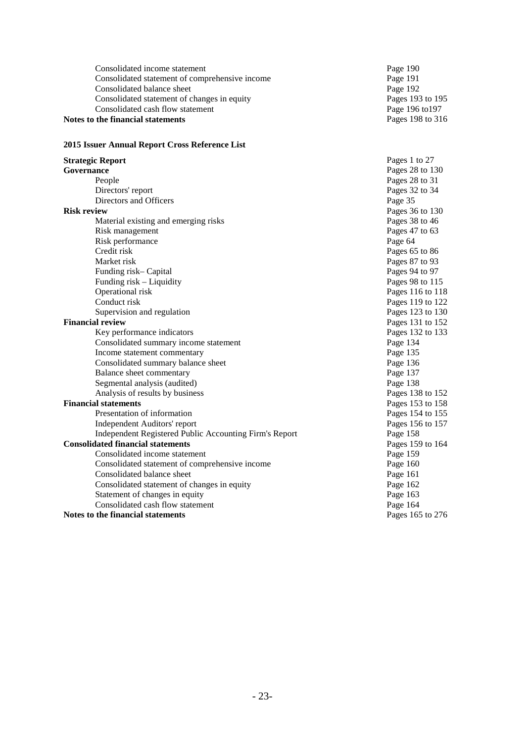| Consolidated income statement                  | Page 190         |
|------------------------------------------------|------------------|
| Consolidated statement of comprehensive income | Page 191         |
| Consolidated balance sheet                     | Page 192         |
| Consolidated statement of changes in equity    | Pages 193 to 195 |
| Consolidated cash flow statement               | Page 196 to 197  |
| Notes to the financial statements              | Pages 198 to 316 |

# **2015 Issuer Annual Report Cross Reference List**

| <b>Strategic Report</b>                                | Pages 1 to 27      |
|--------------------------------------------------------|--------------------|
| Governance                                             | Pages 28 to 130    |
| People                                                 | Pages 28 to 31     |
| Directors' report                                      | Pages 32 to 34     |
| Directors and Officers                                 | Page 35            |
| <b>Risk review</b>                                     | Pages 36 to 130    |
| Material existing and emerging risks                   | Pages 38 to 46     |
| Risk management                                        | Pages $47$ to $63$ |
| Risk performance                                       | Page 64            |
| Credit risk                                            | Pages 65 to 86     |
| Market risk                                            | Pages 87 to 93     |
| Funding risk-Capital                                   | Pages 94 to 97     |
| Funding risk - Liquidity                               | Pages 98 to 115    |
| Operational risk                                       | Pages 116 to 118   |
| Conduct risk                                           | Pages 119 to 122   |
| Supervision and regulation                             | Pages 123 to 130   |
| <b>Financial review</b>                                | Pages 131 to 152   |
| Key performance indicators                             | Pages 132 to 133   |
| Consolidated summary income statement                  | Page 134           |
| Income statement commentary                            | Page 135           |
| Consolidated summary balance sheet                     | Page 136           |
| Balance sheet commentary                               | Page 137           |
| Segmental analysis (audited)                           | Page 138           |
| Analysis of results by business                        | Pages 138 to 152   |
| <b>Financial statements</b>                            | Pages 153 to 158   |
| Presentation of information                            | Pages 154 to 155   |
| Independent Auditors' report                           | Pages 156 to 157   |
| Independent Registered Public Accounting Firm's Report | Page 158           |
| <b>Consolidated financial statements</b>               | Pages 159 to 164   |
| Consolidated income statement                          | Page 159           |
| Consolidated statement of comprehensive income         | Page 160           |
| Consolidated balance sheet                             | Page 161           |
| Consolidated statement of changes in equity            | Page 162           |
| Statement of changes in equity                         | Page 163           |
| Consolidated cash flow statement                       | Page 164           |
| Notes to the financial statements                      | Pages 165 to 276   |
|                                                        |                    |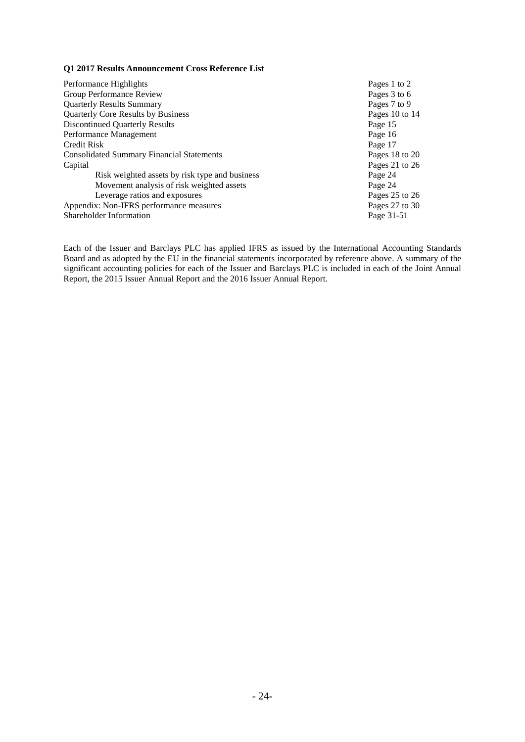## **Q1 2017 Results Announcement Cross Reference List**

Performance Highlights<br>
Group Performance Review<br>
Pages 3 to 6 Group Performance Review Pages 3 to 6<br>
Quarterly Results Summary Pages 7 to 9 Quarterly Results Summary<br>
Quarterly Core Results by Business<br>
Pages 10 to 14 Quarterly Core Results by Business Pages 10<br>Discontinued Quarterly Results Page 15 Discontinued Quarterly Results<br>
Performance Management<br>
Page 16 Performance Management Page 16<br>Credit Risk Page 17 Credit Risk Page 17 Consolidated Summary Financial Statements Pages 18 to 20<br>
Capital Pages 21 to 26 Risk weighted assets by risk type and business Page 24<br>Movement analysis of risk weighted assets Page 24 Movement analysis of risk weighted assets<br>
Leverage ratios and exposures<br>
Pages 25 to 26<br>
Pages 25 to 26 Leverage ratios and exposures Pages 25 to 26<br>
x: Non-IFRS performance measures Pages 27 to 30 Appendix: Non-IFRS performance measures Pages 27 to 31-51 Shareholder Information

Pages 21 to 26<br>Page 24

Each of the Issuer and Barclays PLC has applied IFRS as issued by the International Accounting Standards Board and as adopted by the EU in the financial statements incorporated by reference above. A summary of the significant accounting policies for each of the Issuer and Barclays PLC is included in each of the Joint Annual Report, the 2015 Issuer Annual Report and the 2016 Issuer Annual Report.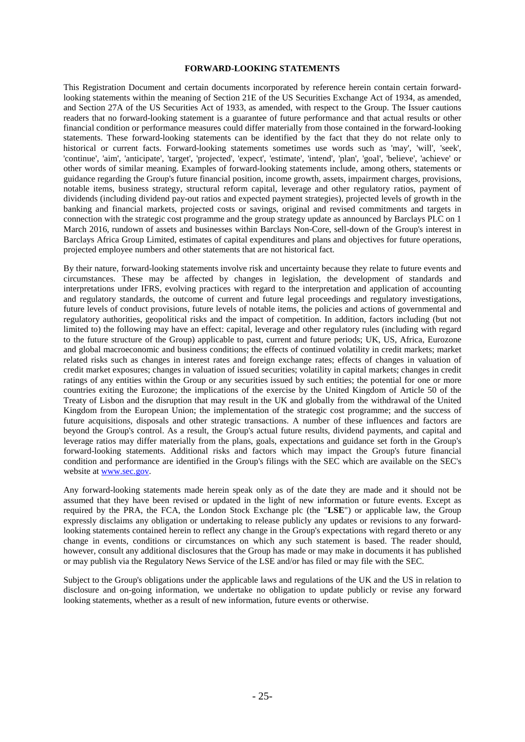### **FORWARD-LOOKING STATEMENTS**

This Registration Document and certain documents incorporated by reference herein contain certain forwardlooking statements within the meaning of Section 21E of the US Securities Exchange Act of 1934, as amended, and Section 27A of the US Securities Act of 1933, as amended, with respect to the Group. The Issuer cautions readers that no forward-looking statement is a guarantee of future performance and that actual results or other financial condition or performance measures could differ materially from those contained in the forward-looking statements. These forward-looking statements can be identified by the fact that they do not relate only to historical or current facts. Forward-looking statements sometimes use words such as 'may', 'will', 'seek', 'continue', 'aim', 'anticipate', 'target', 'projected', 'expect', 'estimate', 'intend', 'plan', 'goal', 'believe', 'achieve' or other words of similar meaning. Examples of forward-looking statements include, among others, statements or guidance regarding the Group's future financial position, income growth, assets, impairment charges, provisions, notable items, business strategy, structural reform capital, leverage and other regulatory ratios, payment of dividends (including dividend pay-out ratios and expected payment strategies), projected levels of growth in the banking and financial markets, projected costs or savings, original and revised commitments and targets in connection with the strategic cost programme and the group strategy update as announced by Barclays PLC on 1 March 2016, rundown of assets and businesses within Barclays Non-Core, sell-down of the Group's interest in Barclays Africa Group Limited, estimates of capital expenditures and plans and objectives for future operations, projected employee numbers and other statements that are not historical fact.

By their nature, forward-looking statements involve risk and uncertainty because they relate to future events and circumstances. These may be affected by changes in legislation, the development of standards and interpretations under IFRS, evolving practices with regard to the interpretation and application of accounting and regulatory standards, the outcome of current and future legal proceedings and regulatory investigations, future levels of conduct provisions, future levels of notable items, the policies and actions of governmental and regulatory authorities, geopolitical risks and the impact of competition. In addition, factors including (but not limited to) the following may have an effect: capital, leverage and other regulatory rules (including with regard to the future structure of the Group) applicable to past, current and future periods; UK, US, Africa, Eurozone and global macroeconomic and business conditions; the effects of continued volatility in credit markets; market related risks such as changes in interest rates and foreign exchange rates; effects of changes in valuation of credit market exposures; changes in valuation of issued securities; volatility in capital markets; changes in credit ratings of any entities within the Group or any securities issued by such entities; the potential for one or more countries exiting the Eurozone; the implications of the exercise by the United Kingdom of Article 50 of the Treaty of Lisbon and the disruption that may result in the UK and globally from the withdrawal of the United Kingdom from the European Union; the implementation of the strategic cost programme; and the success of future acquisitions, disposals and other strategic transactions. A number of these influences and factors are beyond the Group's control. As a result, the Group's actual future results, dividend payments, and capital and leverage ratios may differ materially from the plans, goals, expectations and guidance set forth in the Group's forward-looking statements. Additional risks and factors which may impact the Group's future financial condition and performance are identified in the Group's filings with the SEC which are available on the SEC's website at [www.sec.gov.](http://www.sec.gov/)

Any forward-looking statements made herein speak only as of the date they are made and it should not be assumed that they have been revised or updated in the light of new information or future events. Except as required by the PRA, the FCA, the London Stock Exchange plc (the "**LSE**") or applicable law, the Group expressly disclaims any obligation or undertaking to release publicly any updates or revisions to any forwardlooking statements contained herein to reflect any change in the Group's expectations with regard thereto or any change in events, conditions or circumstances on which any such statement is based. The reader should, however, consult any additional disclosures that the Group has made or may make in documents it has published or may publish via the Regulatory News Service of the LSE and/or has filed or may file with the SEC.

Subject to the Group's obligations under the applicable laws and regulations of the UK and the US in relation to disclosure and on-going information, we undertake no obligation to update publicly or revise any forward looking statements, whether as a result of new information, future events or otherwise.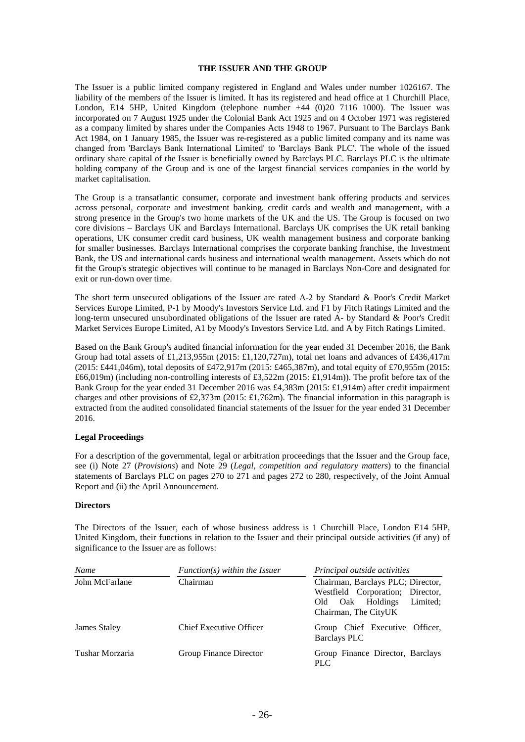### **THE ISSUER AND THE GROUP**

The Issuer is a public limited company registered in England and Wales under number 1026167. The liability of the members of the Issuer is limited. It has its registered and head office at 1 Churchill Place, London, E14 5HP, United Kingdom (telephone number +44 (0)20 7116 1000). The Issuer was incorporated on 7 August 1925 under the Colonial Bank Act 1925 and on 4 October 1971 was registered as a company limited by shares under the Companies Acts 1948 to 1967. Pursuant to The Barclays Bank Act 1984, on 1 January 1985, the Issuer was re-registered as a public limited company and its name was changed from 'Barclays Bank International Limited' to 'Barclays Bank PLC'. The whole of the issued ordinary share capital of the Issuer is beneficially owned by Barclays PLC. Barclays PLC is the ultimate holding company of the Group and is one of the largest financial services companies in the world by market capitalisation.

The Group is a transatlantic consumer, corporate and investment bank offering products and services across personal, corporate and investment banking, credit cards and wealth and management, with a strong presence in the Group's two home markets of the UK and the US. The Group is focused on two core divisions – Barclays UK and Barclays International. Barclays UK comprises the UK retail banking operations, UK consumer credit card business, UK wealth management business and corporate banking for smaller businesses. Barclays International comprises the corporate banking franchise, the Investment Bank, the US and international cards business and international wealth management. Assets which do not fit the Group's strategic objectives will continue to be managed in Barclays Non-Core and designated for exit or run-down over time.

The short term unsecured obligations of the Issuer are rated A-2 by Standard & Poor's Credit Market Services Europe Limited, P-1 by Moody's Investors Service Ltd. and F1 by Fitch Ratings Limited and the long-term unsecured unsubordinated obligations of the Issuer are rated A- by Standard & Poor's Credit Market Services Europe Limited, A1 by Moody's Investors Service Ltd. and A by Fitch Ratings Limited.

Based on the Bank Group's audited financial information for the year ended 31 December 2016, the Bank Group had total assets of £1,213,955m (2015: £1,120,727m), total net loans and advances of £436,417m (2015: £441,046m), total deposits of £472,917m (2015: £465,387m), and total equity of £70,955m (2015: £66,019m) (including non-controlling interests of £3,522m (2015: £1,914m)). The profit before tax of the Bank Group for the year ended 31 December 2016 was £4,383m (2015: £1,914m) after credit impairment charges and other provisions of £2,373m (2015: £1,762m). The financial information in this paragraph is extracted from the audited consolidated financial statements of the Issuer for the year ended 31 December 2016.

### **Legal Proceedings**

For a description of the governmental, legal or arbitration proceedings that the Issuer and the Group face, see (i) Note 27 (*Provisions*) and Note 29 (*Legal, competition and regulatory matters*) to the financial statements of Barclays PLC on pages 270 to 271 and pages 272 to 280, respectively, of the Joint Annual Report and (ii) the April Announcement.

### **Directors**

The Directors of the Issuer, each of whose business address is 1 Churchill Place, London E14 5HP, United Kingdom, their functions in relation to the Issuer and their principal outside activities (if any) of significance to the Issuer are as follows:

| Name            | $Function(s)$ within the Issuer | Principal outside activities                                                                                                     |
|-----------------|---------------------------------|----------------------------------------------------------------------------------------------------------------------------------|
| John McFarlane  | Chairman                        | Chairman, Barclays PLC; Director,<br>Westfield Corporation; Director,<br>Limited:<br>Oak Holdings<br>Old<br>Chairman, The CityUK |
| James Staley    | <b>Chief Executive Officer</b>  | Group Chief Executive Officer,<br><b>Barclays PLC</b>                                                                            |
| Tushar Morzaria | Group Finance Director          | Group Finance Director, Barclays<br><b>PLC</b>                                                                                   |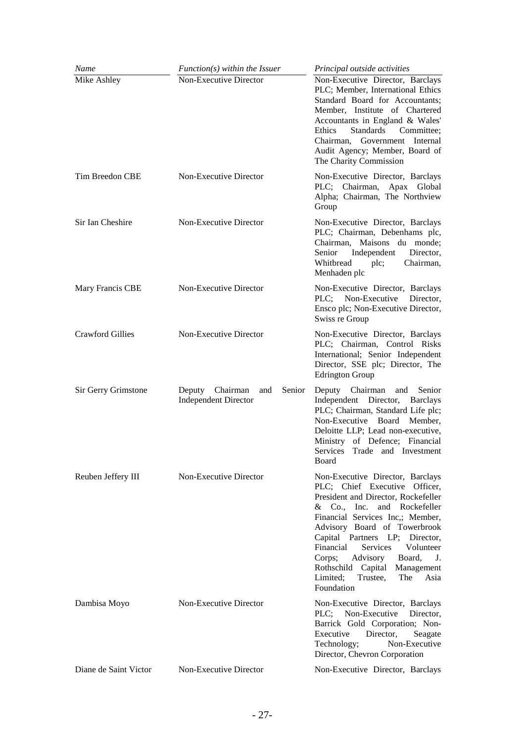| Name                    | $Function(s)$ within the Issuer                                 | Principal outside activities                                                                                                                                                                                                                                                                                                                                                                                    |
|-------------------------|-----------------------------------------------------------------|-----------------------------------------------------------------------------------------------------------------------------------------------------------------------------------------------------------------------------------------------------------------------------------------------------------------------------------------------------------------------------------------------------------------|
| Mike Ashley             | Non-Executive Director                                          | Non-Executive Director, Barclays<br>PLC; Member, International Ethics<br>Standard Board for Accountants;<br>Member, Institute of Chartered<br>Accountants in England & Wales'<br><b>Standards</b><br>Ethics<br>Committee:<br>Chairman, Government Internal<br>Audit Agency; Member, Board of<br>The Charity Commission                                                                                          |
| Tim Breedon CBE         | Non-Executive Director                                          | Non-Executive Director, Barclays<br>PLC; Chairman, Apax Global<br>Alpha; Chairman, The Northview<br>Group                                                                                                                                                                                                                                                                                                       |
| Sir Ian Cheshire        | Non-Executive Director                                          | Non-Executive Director, Barclays<br>PLC; Chairman, Debenhams plc,<br>Chairman, Maisons du monde;<br>Senior<br>Independent<br>Director,<br>Whitbread<br>plc;<br>Chairman,<br>Menhaden plc                                                                                                                                                                                                                        |
| Mary Francis CBE        | Non-Executive Director                                          | Non-Executive Director, Barclays<br>Non-Executive<br>PLC:<br>Director.<br>Ensco plc; Non-Executive Director,<br>Swiss re Group                                                                                                                                                                                                                                                                                  |
| <b>Crawford Gillies</b> | Non-Executive Director                                          | Non-Executive Director, Barclays<br>PLC; Chairman, Control Risks<br>International; Senior Independent<br>Director, SSE plc; Director, The<br><b>Edrington Group</b>                                                                                                                                                                                                                                             |
| Sir Gerry Grimstone     | Deputy Chairman<br>and<br>Senior<br><b>Independent Director</b> | Deputy Chairman<br>Senior<br>and<br>Independent Director, Barclays<br>PLC; Chairman, Standard Life plc;<br>Non-Executive Board<br>Member,<br>Deloitte LLP; Lead non-executive,<br>Ministry of Defence; Financial<br>Services Trade and Investment<br>Board                                                                                                                                                      |
| Reuben Jeffery III      | Non-Executive Director                                          | Non-Executive Director, Barclays<br>PLC; Chief Executive Officer,<br>President and Director, Rockefeller<br>& Co., Inc. and Rockefeller<br>Financial Services Inc,; Member,<br>Advisory Board of Towerbrook<br>Capital Partners LP; Director,<br>Financial<br>Services<br>Volunteer<br>Advisory<br>Corps;<br>Board,<br>J.<br>Rothschild Capital Management<br>Limited;<br>Trustee,<br>The<br>Asia<br>Foundation |
| Dambisa Moyo            | Non-Executive Director                                          | Non-Executive Director, Barclays<br>PLC; Non-Executive<br>Director,<br>Barrick Gold Corporation; Non-<br>Director,<br>Executive<br>Seagate<br>Non-Executive<br>Technology;<br>Director, Chevron Corporation                                                                                                                                                                                                     |
| Diane de Saint Victor   | Non-Executive Director                                          | Non-Executive Director, Barclays                                                                                                                                                                                                                                                                                                                                                                                |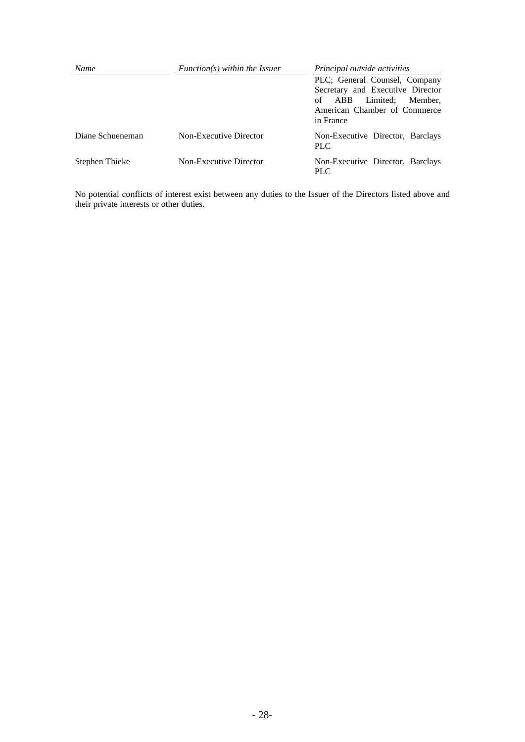| Name             | $Function(s)$ within the Issuer<br>Principal outside activities |                                                                                                                                              |  |  |
|------------------|-----------------------------------------------------------------|----------------------------------------------------------------------------------------------------------------------------------------------|--|--|
|                  |                                                                 | PLC; General Counsel, Company<br>Secretary and Executive Director<br>Limited: Member.<br>of ABB<br>American Chamber of Commerce<br>in France |  |  |
| Diane Schueneman | Non-Executive Director                                          | Non-Executive Director, Barclays<br><b>PLC</b>                                                                                               |  |  |
| Stephen Thieke   | Non-Executive Director                                          | Non-Executive Director, Barclays<br><b>PLC</b>                                                                                               |  |  |

No potential conflicts of interest exist between any duties to the Issuer of the Directors listed above and their private interests or other duties.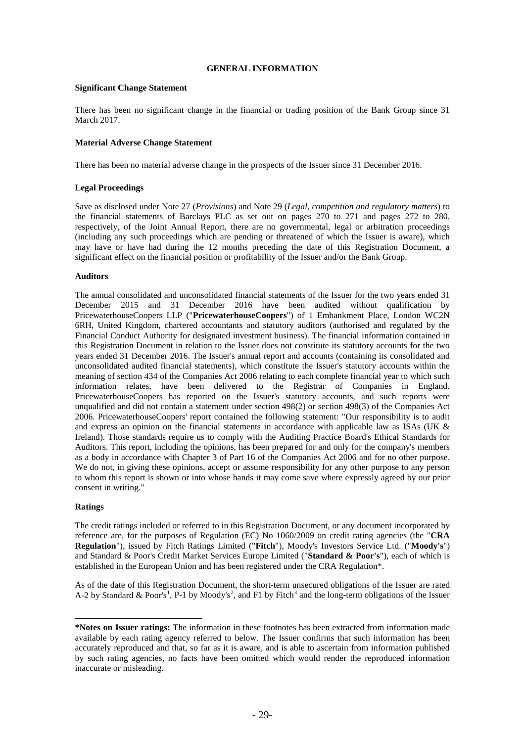### **GENERAL INFORMATION**

### **Significant Change Statement**

There has been no significant change in the financial or trading position of the Bank Group since 31 March 2017.

### **Material Adverse Change Statement**

There has been no material adverse change in the prospects of the Issuer since 31 December 2016.

### **Legal Proceedings**

Save as disclosed under Note 27 (*Provisions*) and Note 29 (*Legal, competition and regulatory matters*) to the financial statements of Barclays PLC as set out on pages 270 to 271 and pages 272 to 280, respectively, of the Joint Annual Report, there are no governmental, legal or arbitration proceedings (including any such proceedings which are pending or threatened of which the Issuer is aware), which may have or have had during the 12 months preceding the date of this Registration Document, a significant effect on the financial position or profitability of the Issuer and/or the Bank Group.

### **Auditors**

The annual consolidated and unconsolidated financial statements of the Issuer for the two years ended 31 December 2015 and 31 December 2016 have been audited without qualification by PricewaterhouseCoopers LLP ("**PricewaterhouseCoopers**") of 1 Embankment Place, London WC2N 6RH, United Kingdom, chartered accountants and statutory auditors (authorised and regulated by the Financial Conduct Authority for designated investment business). The financial information contained in this Registration Document in relation to the Issuer does not constitute its statutory accounts for the two years ended 31 December 2016. The Issuer's annual report and accounts (containing its consolidated and unconsolidated audited financial statements), which constitute the Issuer's statutory accounts within the meaning of section 434 of the Companies Act 2006 relating to each complete financial year to which such information relates, have been delivered to the Registrar of Companies in England. PricewaterhouseCoopers has reported on the Issuer's statutory accounts, and such reports were unqualified and did not contain a statement under section 498(2) or section 498(3) of the Companies Act 2006. PricewaterhouseCoopers' report contained the following statement: "Our responsibility is to audit and express an opinion on the financial statements in accordance with applicable law as ISAs (UK & Ireland). Those standards require us to comply with the Auditing Practice Board's Ethical Standards for Auditors. This report, including the opinions, has been prepared for and only for the company's members as a body in accordance with Chapter 3 of Part 16 of the Companies Act 2006 and for no other purpose. We do not, in giving these opinions, accept or assume responsibility for any other purpose to any person to whom this report is shown or into whose hands it may come save where expressly agreed by our prior consent in writing."

### <span id="page-30-2"></span><span id="page-30-1"></span>**Ratings**

-

The credit ratings included or referred to in this Registration Document, or any document incorporated by reference are, for the purposes of Regulation (EC) No 1060/2009 on credit rating agencies (the "**CRA Regulation**"), issued by Fitch Ratings Limited ("**Fitch**"), Moody's Investors Service Ltd. ("**Moody's**") and Standard & Poor's Credit Market Services Europe Limited ("**Standard & Poor's**"), each of which is established in the European Union and has been registered under the CRA Regulation\*.

As of the date of this Registration Document, the short-term unsecured obligations of the Issuer are rated A-2 by Standard & Poor's<sup>[1](#page-30-0)</sup>, P-1 by Moody's<sup>[2](#page-30-1)</sup>, and F1 by Fitch<sup>[3](#page-30-2)</sup> and the long-term obligations of the Issuer

<span id="page-30-0"></span>**<sup>\*</sup>Notes on Issuer ratings:** The information in these footnotes has been extracted from information made available by each rating agency referred to below. The Issuer confirms that such information has been accurately reproduced and that, so far as it is aware, and is able to ascertain from information published by such rating agencies, no facts have been omitted which would render the reproduced information inaccurate or misleading.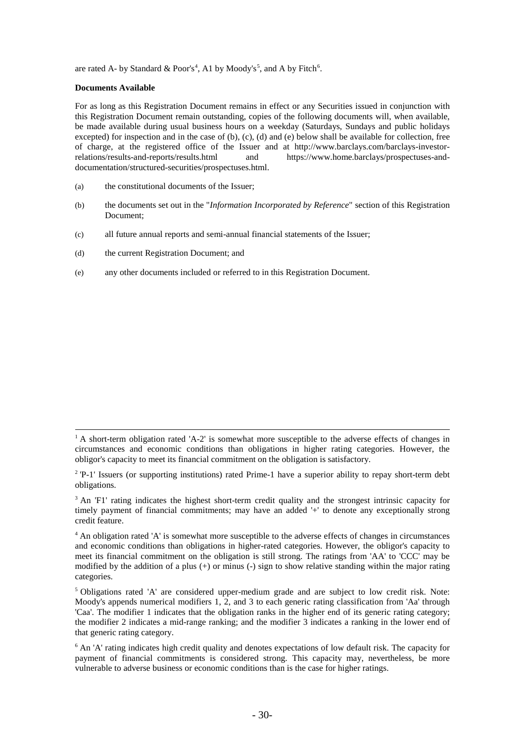are rated A- by Standard & Poor's<sup>[4](#page-31-0)</sup>, A1 by Moody's<sup>[5](#page-31-1)</sup>, and A by Fitch<sup>[6](#page-31-2)</sup>.

### **Documents Available**

-

For as long as this Registration Document remains in effect or any Securities issued in conjunction with this Registration Document remain outstanding, copies of the following documents will, when available, be made available during usual business hours on a weekday (Saturdays, Sundays and public holidays excepted) for inspection and in the case of (b), (c), (d) and (e) below shall be available for collection, free of charge, at the registered office of the Issuer and at http://www.barclays.com/barclays-investor-<br>relations/results-and-reports/results.html and https://www.home.barclays/prospectuses-andand https://www.home.barclays/prospectuses-anddocumentation/structured-securities/prospectuses.html.

- (a) the constitutional documents of the Issuer;
- (b) the documents set out in the "*Information Incorporated by Reference*" section of this Registration Document;
- (c) all future annual reports and semi-annual financial statements of the Issuer;
- (d) the current Registration Document; and
- (e) any other documents included or referred to in this Registration Document.

<sup>&</sup>lt;sup>1</sup> A short-term obligation rated 'A-2' is somewhat more susceptible to the adverse effects of changes in circumstances and economic conditions than obligations in higher rating categories. However, the obligor's capacity to meet its financial commitment on the obligation is satisfactory.

 $2$  'P-1' Issuers (or supporting institutions) rated Prime-1 have a superior ability to repay short-term debt obligations.

<sup>&</sup>lt;sup>3</sup> An 'F1' rating indicates the highest short-term credit quality and the strongest intrinsic capacity for timely payment of financial commitments; may have an added '+' to denote any exceptionally strong credit feature.

<span id="page-31-0"></span><sup>4</sup> An obligation rated 'A' is somewhat more susceptible to the adverse effects of changes in circumstances and economic conditions than obligations in higher-rated categories. However, the obligor's capacity to meet its financial commitment on the obligation is still strong. The ratings from 'AA' to 'CCC' may be modified by the addition of a plus (+) or minus (-) sign to show relative standing within the major rating categories.

<span id="page-31-1"></span> $<sup>5</sup>$  Obligations rated 'A' are considered upper-medium grade and are subject to low credit risk. Note:</sup> Moody's appends numerical modifiers 1, 2, and 3 to each generic rating classification from 'Aa' through 'Caa'. The modifier 1 indicates that the obligation ranks in the higher end of its generic rating category; the modifier 2 indicates a mid-range ranking; and the modifier 3 indicates a ranking in the lower end of that generic rating category.

<span id="page-31-2"></span> $6$  An 'A' rating indicates high credit quality and denotes expectations of low default risk. The capacity for payment of financial commitments is considered strong. This capacity may, nevertheless, be more vulnerable to adverse business or economic conditions than is the case for higher ratings.